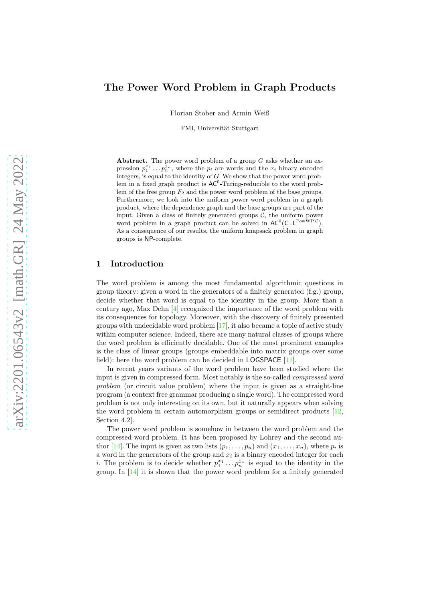# The Power Word Problem in Graph Products

Florian Stober and Armin Weiß

FMI, Universität Stuttgart

Abstract. The power word problem of a group  $G$  asks whether an expression  $p_1^{x_1} \ldots p_n^{x_n}$ , where the  $p_i$  are words and the  $x_i$  binary encoded integers, is equal to the identity of G. We show that the power word problem in a fixed graph product is  $AC^0$ -Turing-reducible to the word problem of the free group  $F_2$  and the power word problem of the base groups. Furthermore, we look into the uniform power word problem in a graph product, where the dependence graph and the base groups are part of the input. Given a class of finitely generated groups  $C$ , the uniform power word problem in a graph product can be solved in  $AC^0(C=L^{\text{PowWP }\mathcal{C}})$ . As a consequence of our results, the uniform knapsack problem in graph groups is NP-complete.

## 1 Introduction

The word problem is among the most fundamental algorithmic questions in group theory: given a word in the generators of a finitely generated (f.g.) group, decide whether that word is equal to the identity in the group. More than a century ago, Max Dehn [\[4](#page-11-0)] recognized the importance of the word problem with its consequences for topology. Moreover, with the discovery of finitely presented groups with undecidable word problem  $[17]$ , it also became a topic of active study within computer science. Indeed, there are many natural classes of groups where the word problem is efficiently decidable. One of the most prominent examples is the class of linear groups (groups embeddable into matrix groups over some field): here the word problem can be decided in **LOGSPACE** [\[11\]](#page-12-1).

In recent years variants of the word problem have been studied where the input is given in compressed form. Most notably is the so-called compressed word problem (or circuit value problem) where the input is given as a straight-line program (a context free grammar producing a single word). The compressed word problem is not only interesting on its own, but it naturally appears when solving the word problem in certain automorphism groups or semidirect products [\[12,](#page-12-2) Section 4.2].

The power word problem is somehow in between the word problem and the compressed word problem. It has been proposed by Lohrey and the second au-thor [\[14\]](#page-12-3). The input is given as two lists  $(p_1, \ldots, p_n)$  and  $(x_1, \ldots, x_n)$ , where  $p_i$  is a word in the generators of the group and  $x_i$  is a binary encoded integer for each *i*. The problem is to decide whether  $p_1^{x_1} \ldots p_n^{x_n}$  is equal to the identity in the group. In  $[14]$  it is shown that the power word problem for a finitely generated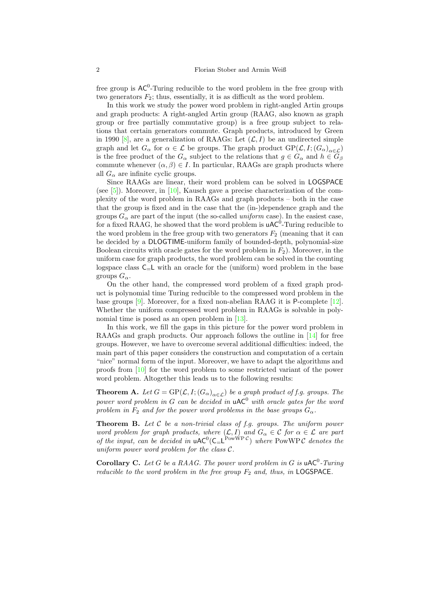free group is  $AC^0$ -Turing reducible to the word problem in the free group with two generators  $F_2$ ; thus, essentially, it is as difficult as the word problem.

In this work we study the power word problem in right-angled Artin groups and graph products: A right-angled Artin group (RAAG, also known as graph group or free partially commutative group) is a free group subject to relations that certain generators commute. Graph products, introduced by Green in 1990 [\[8](#page-11-1)], are a generalization of RAAGs: Let  $(\mathcal{L}, I)$  be an undirected simple graph and let  $G_{\alpha}$  for  $\alpha \in \mathcal{L}$  be groups. The graph product  $GP(\mathcal{L}, I; (G_{\alpha})_{\alpha \in \mathcal{L}})$ is the free product of the  $G_{\alpha}$  subject to the relations that  $g \in G_{\alpha}$  and  $h \in G_{\beta}$ commute whenever  $(\alpha, \beta) \in I$ . In particular, RAAGs are graph products where all  $G_{\alpha}$  are infinite cyclic groups.

Since RAAGs are linear, their word problem can be solved in LOGSPACE (see  $[5]$ ). Moreover, in  $[10]$ , Kausch gave a precise characterization of the complexity of the word problem in RAAGs and graph products – both in the case that the group is fixed and in the case that the (in-)dependence graph and the groups  $G_{\alpha}$  are part of the input (the so-called *uniform* case). In the easiest case, for a fixed RAAG, he showed that the word problem is  $\mathsf{uAC}^0$ -Turing reducible to the word problem in the free group with two generators  $F_2$  (meaning that it can be decided by a DLOGTIME-uniform family of bounded-depth, polynomial-size Boolean circuits with oracle gates for the word problem in  $F_2$ ). Moreover, in the uniform case for graph products, the word problem can be solved in the counting logspace class  $C_{\leq}$  with an oracle for the (uniform) word problem in the base groups  $G_{\alpha}$ .

On the other hand, the compressed word problem of a fixed graph product is polynomial time Turing reducible to the compressed word problem in the base groups [\[9\]](#page-12-5). Moreover, for a fixed non-abelian RAAG it is P-complete [\[12](#page-12-2)]. Whether the uniform compressed word problem in RAAGs is solvable in poly-nomial time is posed as an open problem in [\[13\]](#page-12-6).

In this work, we fill the gaps in this picture for the power word problem in RAAGs and graph products. Our approach follows the outline in [\[14\]](#page-12-3) for free groups. However, we have to overcome several additional difficulties: indeed, the main part of this paper considers the construction and computation of a certain "nice" normal form of the input. Moreover, we have to adapt the algorithms and proofs from [\[10](#page-12-4)] for the word problem to some restricted variant of the power word problem. Altogether this leads us to the following results:

<span id="page-1-0"></span>**Theorem A.** Let  $G = \text{GP}(\mathcal{L}, I; (G_\alpha)_{\alpha \in \mathcal{L}})$  be a graph product of f.g. groups. The power word problem in G can be decided in  $\mathsf{uAC}^0$  with oracle gates for the word problem in  $F_2$  and for the power word problems in the base groups  $G_\alpha$ .

<span id="page-1-1"></span>**Theorem B.** Let  $C$  be a non-trivial class of f.g. groups. The uniform power word problem for graph products, where  $(\mathcal{L}, I)$  and  $G_{\alpha} \in \mathcal{C}$  for  $\alpha \in \mathcal{L}$  are part of the input, can be decided in  $\mathsf{uAC}^0(\mathsf{C}_{\mathsf{=}L}^{\text{PowWP}\mathcal{C}})$  where PowWPC denotes the uniform power word problem for the class  $C$ .

**Corollary C.** Let G be a RAAG. The power word problem in G is  $\mu$ AC<sup>0</sup>-Turing reducible to the word problem in the free group  $F_2$  and, thus, in LOGSPACE.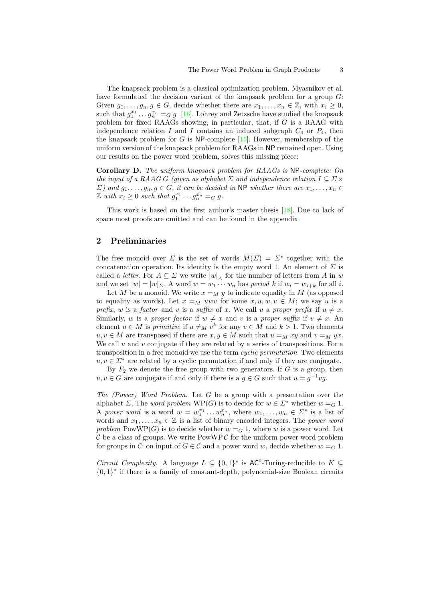The knapsack problem is a classical optimization problem. Myasnikov et al. have formulated the decision variant of the knapsack problem for a group  $G$ : Given  $g_1, \ldots, g_n, g \in G$ , decide whether there are  $x_1, \ldots, x_n \in \mathbb{Z}$ , with  $x_i \geq 0$ , such that  $g_1^{x_1} \dots g_n^{x_n} =_G g$  [\[16](#page-12-7)]. Lohrey and Zetzsche have studied the knapsack problem for fixed RAAGs showing, in particular, that, if G is a RAAG with independence relation I and I contains an induced subgraph  $C_4$  or  $P_4$ , then the knapsack problem for  $G$  is NP-complete [\[15\]](#page-12-8). However, membership of the uniform version of the knapsack problem for RAAGs in NP remained open. Using our results on the power word problem, solves this missing piece:

<span id="page-2-1"></span>Corollary D. The uniform knapsack problem for RAAGs is NP-complete: On the input of a RAAG G (given as alphabet  $\Sigma$  and independence relation  $I \subseteq \Sigma \times$  $\Sigma$ ) and  $g_1, \ldots, g_n, g \in G$ , it can be decided in NP whether there are  $x_1, \ldots, x_n \in G$  $\mathbb{Z}$  with  $x_i \geq 0$  such that  $g_1^{x_1} \ldots g_n^{x_n} =_G g$ .

This work is based on the first author's master thesis [\[18\]](#page-12-9). Due to lack of space most proofs are omitted and can be found in the appendix.

### <span id="page-2-0"></span>2 Preliminaries

The free monoid over  $\Sigma$  is the set of words  $M(\Sigma) = \Sigma^*$  together with the concatenation operation. Its identity is the empty word 1. An element of  $\Sigma$  is called a *letter*. For  $A \subseteq \Sigma$  we write  $|w|_A$  for the number of letters from A in w and we set  $|w| = |w|_{\Sigma}$ . A word  $w = w_1 \cdots w_n$  has period k if  $w_i = w_{i+k}$  for all i.

Let M be a monoid. We write  $x =_M y$  to indicate equality in M (as opposed to equality as words). Let  $x =_M uwv$  for some  $x, u, w, v \in M$ ; we say u is a prefix, w is a factor and v is a suffix of x. We call u a proper prefix if  $u \neq x$ . Similarly, w is a proper factor if  $w \neq x$  and v is a proper suffix if  $v \neq x$ . An element  $u \in M$  is *primitive* if  $u \neq_M v^k$  for any  $v \in M$  and  $k > 1$ . Two elements  $u, v \in M$  are transposed if there are  $x, y \in M$  such that  $u =_M xy$  and  $v =_M yx$ . We call  $u$  and  $v$  conjugate if they are related by a series of transpositions. For a transposition in a free monoid we use the term cyclic permutation. Two elements  $u, v \in \Sigma^*$  are related by a cyclic permutation if and only if they are conjugate.

By  $F_2$  we denote the free group with two generators. If G is a group, then  $u, v \in G$  are conjugate if and only if there is a  $g \in G$  such that  $u = g^{-1}vg$ .

The (Power) Word Problem. Let G be a group with a presentation over the alphabet  $\Sigma$ . The *word problem* WP(G) is to decide for  $w \in \Sigma^*$  whether  $w = G$  1. A power word is a word  $w = w_1^{x_1} \dots w_n^{x_n}$ , where  $w_1, \dots, w_n \in \Sigma^*$  is a list of words and  $x_1, \ldots, x_n \in \mathbb{Z}$  is a list of binary encoded integers. The *power word* problem PowWP(G) is to decide whether  $w = G 1$ , where w is a power word. Let  $\mathcal C$  be a class of groups. We write PowWP  $\mathcal C$  for the uniform power word problem for groups in C: on input of  $G \in \mathcal{C}$  and a power word w, decide whether  $w = G 1$ .

*Circuit Complexity.* A language  $L \subseteq \{0,1\}^*$  is  $AC^0$ -Turing-reducible to  $K \subseteq$ {0, 1} ∗ if there is a family of constant-depth, polynomial-size Boolean circuits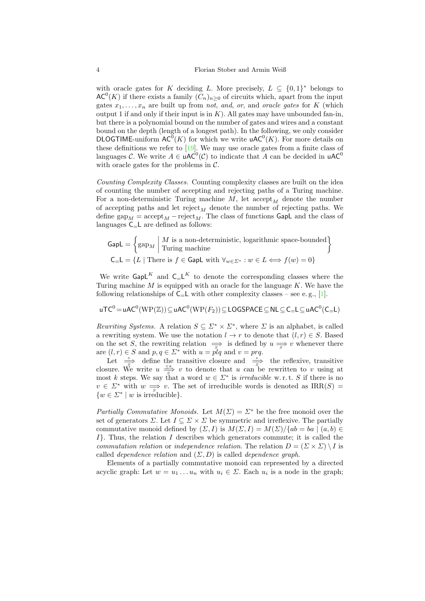with oracle gates for K deciding L. More precisely,  $L \subseteq \{0,1\}^*$  belongs to  $\mathsf{AC}^0(K)$  if there exists a family  $(\tilde{C}_n)_{n\geq 0}$  of circuits which, apart from the input gates  $x_1, \ldots, x_n$  are built up from not, and, or, and oracle gates for K (which output 1 if and only if their input is in  $K$ ). All gates may have unbounded fan-in, but there is a polynomial bound on the number of gates and wires and a constant bound on the depth (length of a longest path). In the following, we only consider **DLOGTIME-uniform**  $AC^0(K)$  **for which we write uAC<sup>0</sup>(K). For more details on** these definitions we refer to [\[19\]](#page-12-10). We may use oracle gates from a finite class of languages C. We write  $A \in \mathsf{uAC}^0(\mathcal{C})$  to indicate that A can be decided in  $\mathsf{uAC}^0$ with oracle gates for the problems in  $\mathcal{C}$ .

Counting Complexity Classes. Counting complexity classes are built on the idea of counting the number of accepting and rejecting paths of a Turing machine. For a non-deterministic Turing machine  $M$ , let accept<sub>M</sub> denote the number of accepting paths and let  $reject_M$  denote the number of rejecting paths. We define gap<sub>M</sub> = accept<sub>M</sub> – reject<sub>M</sub>. The class of functions GapL and the class of languages  $C_{\leq}L$  are defined as follows:

$$
\text{GapL} = \left\{ \text{gap}_M \mid \text{Iw is a non-deterministic, logarithmic space-bounded} \right\}
$$

$$
\text{C}_{=}\text{L} = \{ L \mid \text{There is } f \in \text{GapL with } \forall_{w \in \Sigma^*} : w \in L \Longleftrightarrow f(w) = 0 \}
$$

We write  $\mathsf{GapL}^K$  and  $\mathsf{C}_\mathsf{=} \mathsf{L}^K$  to denote the corresponding classes where the Turing machine  $M$  is equipped with an oracle for the language  $K$ . We have the following relationships of  $C_{=}L$  with other complexity classes – see e.g., [\[1\]](#page-11-3).

$$
\mathsf{uTC}^0\!=\!\mathsf{uAC}^0(\mathrm{WP}(\mathbb{Z}))\!\subseteq\!\mathsf{uAC}^0(\mathrm{WP}(F_2))\!\subseteq\!\mathsf{LOGSPACE}\!\subseteq\!\mathsf{NL}\!\subseteq\!\mathsf{C}_\!=\!\mathsf{L}\!\subseteq\!\mathsf{uAC}^0(\mathsf{C}_\!=\!\mathsf{L})
$$

Rewriting Systems. A relation  $S \subseteq \Sigma^* \times \Sigma^*$ , where  $\Sigma$  is an alphabet, is called a rewriting system. We use the notation  $l \to r$  to denote that  $(l, r) \in S$ . Based on the set S, the rewriting relation  $\Rightarrow$  is defined by  $u \Rightarrow v$  whenever there are  $(l, r) \in S$  and  $p, q \in \Sigma^*$  with  $u = \tilde{pl}q$  and  $v = prq$ .

Let  $\frac{+}{s}$  define the transitive closure and  $\frac{+}{s}$  the reflexive, transitive closure. We write  $u \stackrel{\leq k}{\Rightarrow} v$  to denote that u can be rewritten to v using at most k steps. We say that a word  $w \in \Sigma^*$  is *irreducible* w.r.t. S if there is no  $v \in \Sigma^*$  with  $w \implies v$ . The set of irreducible words is denoted as IRR(S) =  $\{w \in \Sigma^* \mid w \text{ is irreducible}\}.$ 

Partially Commutative Monoids. Let  $M(\Sigma) = \Sigma^*$  be the free monoid over the set of generators  $\Sigma$ . Let  $I \subseteq \Sigma \times \Sigma$  be symmetric and irreflexive. The partially commutative monoid defined by  $(\Sigma, I)$  is  $M(\Sigma, I) = M(\Sigma)/\{ab = ba \mid (a, b) \in$  $I$ . Thus, the relation I describes which generators commute; it is called the commutation relation or independence relation. The relation  $D = (\Sigma \times \Sigma) \setminus I$  is called *dependence relation* and  $(\Sigma, D)$  is called *dependence graph*.

Elements of a partially commutative monoid can represented by a directed acyclic graph: Let  $w = u_1 \dots u_n$  with  $u_i \in \Sigma$ . Each  $u_i$  is a node in the graph;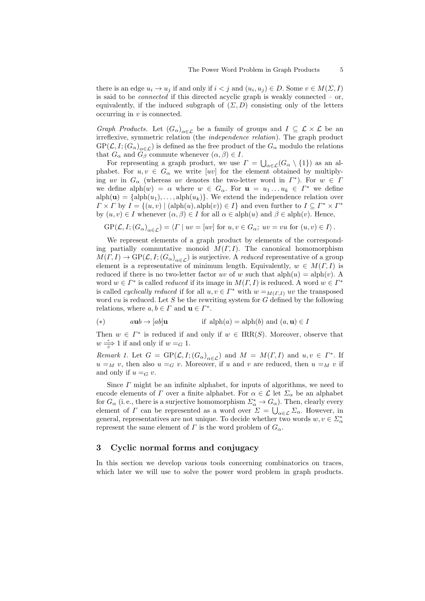there is an edge  $u_i \to u_j$  if and only if  $i < j$  and  $(u_i, u_j) \in D$ . Some  $v \in M(\Sigma, I)$ is said to be *connected* if this directed acyclic graph is weakly connected  $-$  or, equivalently, if the induced subgraph of  $(\Sigma, D)$  consisting only of the letters occurring in  $v$  is connected.

Graph Products. Let  $(G_{\alpha})_{\alpha \in \mathcal{L}}$  be a family of groups and  $I \subseteq \mathcal{L} \times \mathcal{L}$  be an irreflexive, symmetric relation (the independence relation). The graph product  $GP(\mathcal{L}, I; (G_\alpha)_{\alpha \in \mathcal{L}})$  is defined as the free product of the  $G_\alpha$  modulo the relations that  $G_{\alpha}$  and  $G_{\beta}$  commute whenever  $(\alpha, \beta) \in I$ .

For representing a graph product, we use  $\Gamma = \bigcup_{\alpha \in \mathcal{L}} (G_{\alpha} \setminus \{1\})$  as an alphabet. For  $u, v \in G_\alpha$  we write [uv] for the element obtained by multiplying uv in  $G_{\alpha}$  (whereas uv denotes the two-letter word in  $\Gamma^*$ ). For  $w \in \Gamma$ we define  $\text{alpha}(w) = \alpha$  where  $w \in G_\alpha$ . For  $\mathbf{u} = u_1 \dots u_k \in \Gamma^*$  we define  $alph(\mathbf{u}) = \{alph(u_1), \ldots, alph(u_k)\}.$  We extend the independence relation over  $\Gamma \times \Gamma$  by  $I = \{(u, v) \mid (\text{alph}(u), \text{alph}(v)) \in I\}$  and even further to  $I \subseteq \Gamma^* \times \Gamma^*$ by  $(u, v) \in I$  whenever  $(\alpha, \beta) \in I$  for all  $\alpha \in \text{alph}(u)$  and  $\beta \in \text{alph}(v)$ . Hence,

$$
GP(\mathcal{L}, I; (G_{\alpha})_{\alpha \in \mathcal{L}}) = \langle \Gamma \mid uv = [uv] \text{ for } u, v \in G_{\alpha}; uv = vu \text{ for } (u, v) \in I \rangle.
$$

We represent elements of a graph product by elements of the corresponding partially commutative monoid  $M(\Gamma, I)$ . The canonical homomorphism  $M(\Gamma, I) \to \mathrm{GP}(\mathcal{L}, I; (G_\alpha)_{\alpha \in \mathcal{L}})$  is surjective. A reduced representative of a group element is a representative of minimum length. Equivalently,  $w \in M(\Gamma, I)$  is reduced if there is no two-letter factor uv of w such that  $\text{alph}(u) = \text{alph}(v)$ . A word  $w \in \Gamma^*$  is called *reduced* if its image in  $M(\Gamma, I)$  is reduced. A word  $w \in \Gamma^*$ is called *cyclically reduced* if for all  $u, v \in \Gamma^*$  with  $w =_{M(\Gamma, I)} uv$  the transposed word vu is reduced. Let S be the rewriting system for  $G$  defined by the following relations, where  $a, b \in \Gamma$  and  $\mathbf{u} \in \Gamma^*$ .

<span id="page-4-1"></span>(\*) 
$$
a\mathbf{u}b \rightarrow [ab]\mathbf{u}
$$
 if  $alpha(a) = alpha(b)$  and  $(a, \mathbf{u}) \in I$ 

<span id="page-4-0"></span>Then  $w \in \Gamma^*$  is reduced if and only if  $w \in \text{IRR}(S)$ . Moreover, observe that  $w \stackrel{*}{\Longrightarrow} 1$  if and only if  $w =_G 1$ .

Remark 1. Let  $G = GP(\mathcal{L}, I; (G_{\alpha})_{\alpha \in \mathcal{L}})$  and  $M = M(\Gamma, I)$  and  $u, v \in \Gamma^*$ . If  $u =_M v$ , then also  $u =_G v$ . Moreover, if u and v are reduced, then  $u =_M v$  if and only if  $u =_G v$ .

Since  $\Gamma$  might be an infinite alphabet, for inputs of algorithms, we need to encode elements of  $\Gamma$  over a finite alphabet. For  $\alpha \in \mathcal{L}$  let  $\Sigma_{\alpha}$  be an alphabet for  $G_{\alpha}$  (i.e., there is a surjective homomorphism  $\Sigma_{\alpha}^* \to G_{\alpha}$ ). Then, clearly every element of  $\Gamma$  can be represented as a word over  $\Sigma = \bigcup_{\alpha \in \mathcal{L}} \Sigma_{\alpha}$ . However, in general, representatives are not unique. To decide whether two words  $w, v \in \Sigma^*_\alpha$ represent the same element of  $\Gamma$  is the word problem of  $G_{\alpha}$ .

## 3 Cyclic normal forms and conjugacy

In this section we develop various tools concerning combinatorics on traces, which later we will use to solve the power word problem in graph products.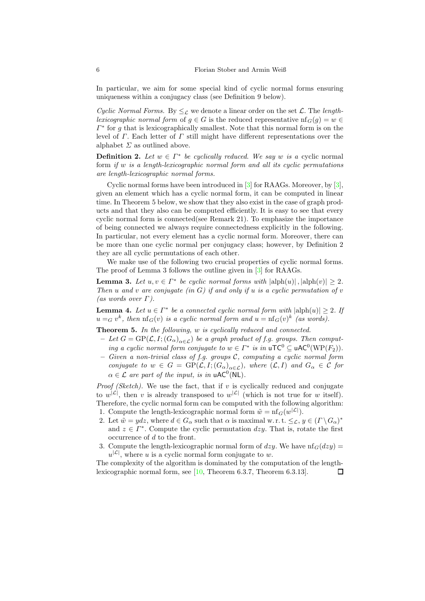In particular, we aim for some special kind of cyclic normal forms ensuring uniqueness within a conjugacy class (see [Definition 9](#page-6-0) below).

Cyclic Normal Forms. By  $\leq_{\mathcal{L}}$  we denote a linear order on the set  $\mathcal{L}$ . The lengthlexicographic normal form of  $g \in G$  is the reduced representative  $\text{nf}_G(g) = w \in$  $\Gamma^*$  for g that is lexicographically smallest. Note that this normal form is on the level of  $\Gamma$ . Each letter of  $\Gamma$  still might have different representations over the alphabet  $\Sigma$  as outlined above.

<span id="page-5-1"></span>**Definition 2.** Let  $w \in \Gamma^*$  be cyclically reduced. We say w is a cyclic normal form if w is a length-lexicographic normal form and all its cyclic permutations are length-lexicographic normal forms.

Cyclic normal forms have been introduced in [\[3](#page-11-4)] for RAAGs. Moreover, by [\[3](#page-11-4)], given an element which has a cyclic normal form, it can be computed in linear time. In [Theorem 5](#page-5-0) below, we show that they also exist in the case of graph products and that they also can be computed efficiently. It is easy to see that every cyclic normal form is connected(see [Remark 21\)](#page-14-0). To emphasize the importance of being connected we always require connectedness explicitly in the following. In particular, not every element has a cyclic normal form. Moreover, there can be more than one cyclic normal per conjugacy class; however, by [Definition 2](#page-5-1) they are all cyclic permutations of each other.

<span id="page-5-2"></span>We make use of the following two crucial properties of cyclic normal forms. The proof of [Lemma 3](#page-5-2) follows the outline given in [\[3\]](#page-11-4) for RAAGs.

**Lemma 3.** Let  $u, v \in \Gamma^*$  be cyclic normal forms with  $|\text{alph}(u)|$ ,  $|\text{alph}(v)| \geq 2$ . Then u and v are conjugate (in  $G$ ) if and only if u is a cyclic permutation of v (as words over  $\Gamma$ ).

<span id="page-5-3"></span>**Lemma 4.** Let  $u \in \Gamma^*$  be a connected cyclic normal form with  $|\text{alph}(u)| \geq 2$ . If  $u =_G v^k$ , then  $\text{nf}_G(v)$  is a cyclic normal form and  $u = \text{nf}_G(v)^k$  (as words).

<span id="page-5-0"></span>Theorem 5. In the following, w is cyclically reduced and connected.

- Let  $G = \text{GP}(\mathcal{L}, I; (G_{\alpha})_{\alpha \in \mathcal{L}})$  be a graph product of f.g. groups. Then computing a cyclic normal form conjugate to  $w \in \Gamma^*$  is in  $uTC^0 \subseteq uAC^0(WP(F_2)).$
- $-$  Given a non-trivial class of f.g. groups C, computing a cyclic normal form conjugate to  $w \in G = \text{GP}(\mathcal{L}, I; (G_\alpha)_{\alpha \in \mathcal{L}})$ , where  $(\mathcal{L}, I)$  and  $G_\alpha \in \mathcal{C}$  for  $\alpha \in \mathcal{L}$  are part of the input, is in uAC<sup>0</sup>(NL).

*Proof (Sketch)*. We use the fact, that if  $v$  is cyclically reduced and conjugate to  $w^{|\mathcal{L}|}$ , then v is already transposed to  $w^{|\mathcal{L}|}$  (which is not true for w itself). Therefore, the cyclic normal form can be computed with the following algorithm:

- 1. Compute the length-lexicographic normal form  $\tilde{w} = \text{nf}_G(w^{|\mathcal{L}|}).$
- 2. Let  $\tilde{w} = ydz$ , where  $d \in G_\alpha$  such that  $\alpha$  is maximal w.r.t.  $\leq_{\mathcal{L}} y \in (\Gamma \setminus G_\alpha)^*$ and  $z \in \Gamma^*$ . Compute the cyclic permutation dzy. That is, rotate the first occurrence of  $d$  to the front.
- 3. Compute the length-lexicographic normal form of dzy. We have  $\text{nf}_G(dzy) =$  $u^{|\mathcal{L}|}$ , where u is a cyclic normal form conjugate to w.

The complexity of the algorithm is dominated by the computation of the lengthlexicographic normal form, see [\[10,](#page-12-4) Theorem 6.3.7, Theorem 6.3.13]. $\Box$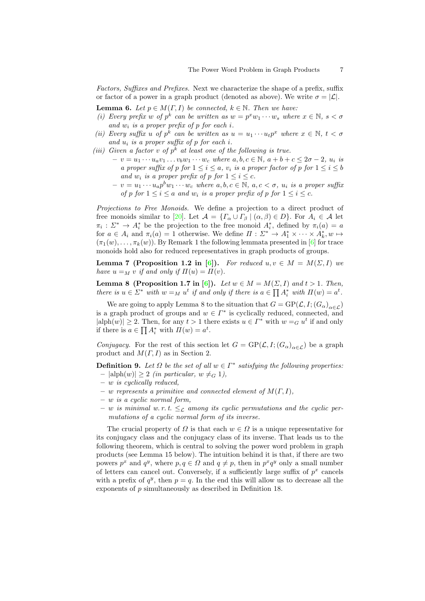<span id="page-6-3"></span>Factors, Suffixes and Prefixes. Next we characterize the shape of a prefix, suffix or factor of a power in a graph product (denoted as above). We write  $\sigma = |\mathcal{L}|$ .

**Lemma 6.** Let  $p \in M(\Gamma, I)$  be connected,  $k \in \mathbb{N}$ . Then we have:

- (i) Every prefix w of  $p^k$  can be written as  $w = p^x w_1 \cdots w_s$  where  $x \in \mathbb{N}, s < \sigma$ and  $w_i$  is a proper prefix of p for each i.
- (ii) Every suffix u of  $p^k$  can be written as  $u = u_1 \cdots u_t p^x$  where  $x \in \mathbb{N}$ ,  $t < \sigma$ and  $u_i$  is a proper suffix of p for each i.
- (iii) Given a factor v of  $p^k$  at least one of the following is true.
	- $v = v_1 \cdots u_a v_1 \cdots v_b w_1 \cdots w_c$  where  $a, b, c \in \mathbb{N}, a+b+c \leq 2\sigma-2, u_i$  is a proper suffix of p for  $1 \leq i \leq a$ ,  $v_i$  is a proper factor of p for  $1 \leq i \leq b$ and  $w_i$  is a proper prefix of p for  $1 \leq i \leq c$ .
	- $v = v_1 \cdots u_a p^b w_1 \cdots w_c$  where  $a, b, c \in \mathbb{N}$ ,  $a, c < \sigma$ ,  $u_i$  is a proper suffix of p for  $1 \leq i \leq a$  and  $w_i$  is a proper prefix of p for  $1 \leq i \leq c$ .

Projections to Free Monoids. We define a projection to a direct product of free monoids similar to [\[20\]](#page-12-11). Let  $\mathcal{A} = \{ \Gamma_\alpha \cup \Gamma_\beta \mid (\alpha, \beta) \in D \}$ . For  $A_i \in \mathcal{A}$  let  $\pi_i: \Sigma^* \to A_i^*$  be the projection to the free monoid  $A_i^*$ , defined by  $\pi_i(a) = a$ for  $a \in A_i$  and  $\pi_i(a) = 1$  otherwise. We define  $\Pi : \Sigma^* \to A_1^* \times \cdots \times A_k^*, w \mapsto$  $(\pi_1(w), \ldots, \pi_k(w))$ . By [Remark 1](#page-4-0) the following lemmata presented in [\[6\]](#page-11-5) for trace monoids hold also for reduced representatives in graph products of groups.

<span id="page-6-4"></span>**Lemma 7 (Proposition 1.2 in [\[6](#page-11-5)]).** For reduced  $u, v \in M = M(\Sigma, I)$  we have  $u =_M v$  if and only if  $\Pi(u) = \Pi(v)$ .

<span id="page-6-1"></span>**Lemma 8 (Proposition 1.7 in [\[6](#page-11-5)]).** Let  $w \in M = M(\Sigma, I)$  and  $t > 1$ . Then, there is  $u \in \Sigma^*$  with  $w = M u^t$  if and only if there is  $a \in \prod A_i^*$  with  $\Pi(w) = a^t$ .

We are going to apply [Lemma 8](#page-6-1) to the situation that  $G = GP(\mathcal{L}, I; (G_{\alpha})_{\alpha \in \mathcal{L}})$ is a graph product of groups and  $w \in \Gamma^*$  is cyclically reduced, connected, and  $|\text{alph}(w)| \geq 2$ . Then, for any  $t > 1$  there exists  $u \in \Gamma^*$  with  $w =_G u^t$  if and only if there is  $a \in \prod A_i^*$  with  $\Pi(w) = a^t$ .

<span id="page-6-0"></span>Conjugacy. For the rest of this section let  $G = GP(\mathcal{L}, I; (G_{\alpha})_{\alpha \in \mathcal{L}})$  be a graph product and  $M(\Gamma, I)$  as in [Section 2.](#page-2-0)

**Definition 9.** Let  $\Omega$  be the set of all  $w \in \Gamma^*$  satisfying the following properties:  $|\text{alph}(w)| \geq 2$  (in particular,  $w \neq_G 1$ ),

- $w$  is cyclically reduced,
- $w$  represents a primitive and connected element of  $M(\Gamma, I)$ ,
- $w$  is a cyclic normal form,
- w is minimal w.r.t.  $\leq_{\mathcal{L}}$  among its cyclic permutations and the cyclic permutations of a cyclic normal form of its inverse.

<span id="page-6-2"></span>The crucial property of  $\Omega$  is that each  $w \in \Omega$  is a unique representative for its conjugacy class and the conjugacy class of its inverse. That leads us to the following theorem, which is central to solving the power word problem in graph products (see [Lemma 15](#page-9-0) below). The intuition behind it is that, if there are two powers  $p^x$  and  $q^y$ , where  $p, q \in \Omega$  and  $q \neq p$ , then in  $p^x q^y$  only a small number of letters can cancel out. Conversely, if a sufficiently large suffix of  $p^x$  cancels with a prefix of  $q^y$ , then  $p = q$ . In the end this will allow us to decrease all the exponents of p simultaneously as described in [Definition 18.](#page-10-0)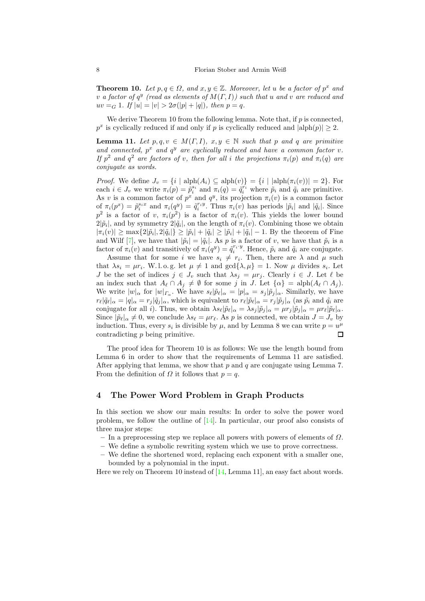**Theorem 10.** Let  $p, q \in \Omega$ , and  $x, y \in \mathbb{Z}$ . Moreover, let u be a factor of  $p^x$  and v a factor of  $q^y$  (read as elements of  $M(\Gamma, I)$ ) such that u and v are reduced and  $uv = G 1$ . If  $|u| = |v| > 2\sigma(|p| + |q|)$ , then  $p = q$ .

<span id="page-7-0"></span>We derive [Theorem 10](#page-6-2) from the following lemma. Note that, if  $p$  is connected,  $p^x$  is cyclically reduced if and only if p is cyclically reduced and  $|\text{alph}(p)| \geq 2$ .

**Lemma 11.** Let  $p, q, v \in M(\Gamma, I), x, y \in \mathbb{N}$  such that p and q are primitive and connected,  $p^x$  and  $q^y$  are cyclically reduced and have a common factor v. If  $p^2$  and  $q^2$  are factors of v, then for all i the projections  $\pi_i(p)$  and  $\pi_i(q)$  are conjugate as words.

*Proof.* We define  $J_v = \{i \mid \text{alph}(A_i) \subseteq \text{alph}(v)\} = \{i \mid \text{alph}(\pi_i(v))\} = 2\}$ . For each  $i \in J_v$  we write  $\pi_i(p) = \tilde{p}_i^{s_i}$  and  $\pi_i(q) = \tilde{q}_i^{r_i}$  where  $\tilde{p}_i$  and  $\tilde{q}_i$  are primitive. As v is a common factor of  $p^x$  and  $q^y$ , its projection  $\pi_i(v)$  is a common factor of  $\pi_i(p^x) = \tilde{p}_i^{s_i x}$  and  $\pi_i(q^y) = \tilde{q}_i^{r_i y}$ . Thus  $\pi_i(v)$  has periods  $|\tilde{p}_i|$  and  $|\tilde{q}_i|$ . Since  $p^2$  is a factor of v,  $\pi_i(p^2)$  is a factor of  $\pi_i(v)$ . This yields the lower bound  $2|\tilde{p}_i|$ , and by symmetry  $2|\tilde{q}_i|$ , on the length of  $\pi_i(v)$ . Combining those we obtain  $|\pi_i(v)| \ge \max\{2|\tilde{p}_i|, 2|\tilde{q}_i|\} \ge |\tilde{p}_i| + |\tilde{q}_i| \ge |\tilde{p}_i| + |\tilde{q}_i| - 1$ . By the theorem of Fine and Wilf [\[7](#page-11-6)], we have that  $|\tilde{p}_i| = |\tilde{q}_i|$ . As p is a factor of v, we have that  $\tilde{p}_i$  is a factor of  $\pi_i(v)$  and transitively of  $\pi_i(q^y) = \tilde{q}_i^{r_i \cdot y}$ . Hence,  $\tilde{p}_i$  and  $\tilde{q}_i$  are conjugate.

Assume that for some *i* we have  $s_i \neq r_i$ . Then, there are  $\lambda$  and  $\mu$  such that  $\lambda s_i = \mu r_i$ . W.l.o.g. let  $\mu \neq 1$  and  $\gcd\{\lambda, \mu\} = 1$ . Now  $\mu$  divides  $s_i$ . Let J be the set of indices  $j \in J_v$  such that  $\lambda s_j = \mu r_j$ . Clearly  $i \in J$ . Let  $\ell$  be an index such that  $A_{\ell} \cap A_j \neq \emptyset$  for some j in J. Let  $\{\alpha\} = \text{alph}(A_{\ell} \cap A_j)$ . We write  $|w|_{\alpha}$  for  $|w|_{\Gamma_{\alpha}}$ . We have  $s_{\ell}|\tilde{p}_{\ell}|_{\alpha} = |p|_{\alpha} = s_{j}|\tilde{p}_{j}|_{\alpha}$ . Similarly, we have  $r_{\ell}|\tilde{q}_{\ell}|_{\alpha} = |q|_{\alpha} = r_j|\tilde{q}_j|_{\alpha}$ , which is equivalent to  $r_{\ell}|\tilde{p}_{\ell}|_{\alpha} = r_j|\tilde{p}_j|_{\alpha}$  (as  $\tilde{p}_i$  and  $\tilde{q}_i$  are conjugate for all *i*). Thus, we obtain  $\lambda s_{\ell} |\tilde{p}_{\ell}|_{\alpha} = \lambda s_{j} |\tilde{p}_{j}|_{\alpha} = \mu r_{j} |\tilde{p}_{j}|_{\alpha} = \mu r_{\ell} |\tilde{p}_{\ell}|_{\alpha}$ . Since  $|\tilde{p}_{\ell}|_{\alpha} \neq 0$ , we conclude  $\lambda s_{\ell} = \mu r_{\ell}$ . As p is connected, we obtain  $J = J_v$  by induction. Thus, every  $s_i$  is divisible by  $\mu$ , and by [Lemma 8](#page-6-1) we can write  $p = u^{\mu}$ contradicting p being primitive.  $\Box$ 

The proof idea for [Theorem 10](#page-6-2) is as follows: We use the length bound from [Lemma 6](#page-6-3) in order to show that the requirements of [Lemma 11](#page-7-0) are satisfied. After applying that lemma, we show that  $p$  and  $q$  are conjugate using [Lemma 7.](#page-6-4) From the definition of  $\Omega$  it follows that  $p = q$ .

## 4 The Power Word Problem in Graph Products

In this section we show our main results: In order to solve the power word problem, we follow the outline of [\[14\]](#page-12-3). In particular, our proof also consists of three major steps:

– In a preprocessing step we replace all powers with powers of elements of  $\Omega$ .

– We define a symbolic rewriting system which we use to prove correctness.

– We define the shortened word, replacing each exponent with a smaller one, bounded by a polynomial in the input.

Here we rely on [Theorem 10](#page-6-2) instead of [\[14](#page-12-3), Lemma 11], an easy fact about words.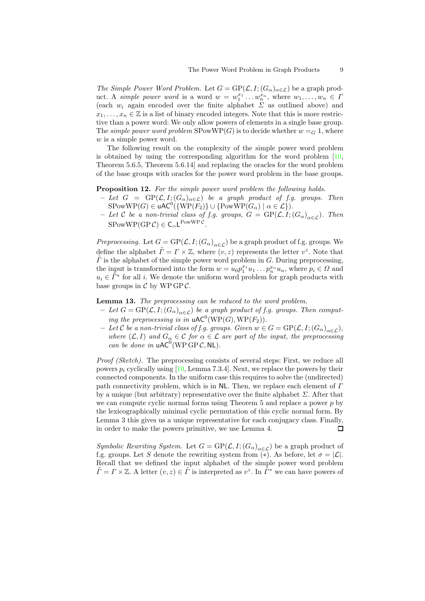The Simple Power Word Problem. Let  $G = \text{GP}(\mathcal{L}, I; (G_\alpha)_{\alpha \in \mathcal{L}})$  be a graph product. A simple power word is a word  $w = w_1^{x_1} \dots w_n^{x_n}$ , where  $w_1, \dots, w_n \in \Gamma$ (each  $w_i$  again encoded over the finite alphabet  $\Sigma$  as outlined above) and  $x_1, \ldots, x_n \in \mathbb{Z}$  is a list of binary encoded integers. Note that this is more restrictive than a power word: We only allow powers of elements in a single base group. The simple power word problem  $SPowWP(G)$  is to decide whether  $w = G_1$ , where w is a simple power word.

The following result on the complexity of the simple power word problem is obtained by using the corresponding algorithm for the word problem [\[10,](#page-12-4) Theorem 5.6.5, Theorem 5.6.14] and replacing the oracles for the word problem of the base groups with oracles for the power word problem in the base groups.

#### <span id="page-8-1"></span>**Proposition 12.** For the simple power word problem the following holds.

- Let  $G = \text{GP}(\mathcal{L}, I; (G_\alpha)_{\alpha \in \mathcal{L}})$  be a graph product of f.g. groups. Then  $SPowWP(G) \in \mathsf{uAC}^0(\{WP(F_2)\} \cup \{PowWP(G_\alpha) \mid \alpha \in \mathcal{L}\}).$
- Let  $\mathcal C$  be a non-trivial class of f.g. groups,  $G = \text{GP}(\mathcal L, I; (G_\alpha)_{\alpha \in \mathcal L})$ . Then  $\text{SPowWP}(\text{GP }\mathcal{C}) \in \mathsf{C} = \mathsf{L}^{\text{PowWP }\mathcal{C}}.$

Preprocessing. Let  $G = \text{GP}(\mathcal{L}, I; (G_\alpha)_{\alpha \in \mathcal{L}})$  be a graph product of f.g. groups. We define the alphabet  $\tilde{\Gamma} = \Gamma \times \mathbb{Z}$ , where  $(v, z)$  represents the letter  $v^z$ . Note that  $\Gamma$  is the alphabet of the simple power word problem in G. During preprocessing, the input is transformed into the form  $w = u_0 p_1^{x_1} u_1 \dots p_n^{x_n} u_n$ , where  $p_i \in \Omega$  and  $u_i \in \tilde{\Gamma}^*$  for all i. We denote the uniform word problem for graph products with base groups in  $\mathcal C$  by WP GP  $\mathcal C$ .

<span id="page-8-0"></span>Lemma 13. The preprocessing can be reduced to the word problem.

- Let  $G = \text{GP}(\mathcal{L}, I; (G_{\alpha})_{\alpha \in \mathcal{L}})$  be a graph product of f.g. groups. Then computing the preprocessing is in  $\mathsf{uAC}^0(\mathrm{WP}(G),\mathrm{WP}(F_2)).$
- Let C be a non-trivial class of f.g. groups. Given  $w \in G = \text{GP}(\mathcal{L}, I; (G_\alpha)_{\alpha \in \mathcal{L}})$ , where  $(\mathcal{L}, I)$  and  $G_{\alpha} \in \mathcal{C}$  for  $\alpha \in \mathcal{L}$  are part of the input, the preprocessing can be done in  $uAC^0(WP$  GP C, NL).

Proof (Sketch). The preprocessing consists of several steps: First, we reduce all powers  $p_i$  cyclically using [\[10,](#page-12-4) Lemma 7.3.4]. Next, we replace the powers by their connected components. In the uniform case this requires to solve the (undirected) path connectivity problem, which is in  $NL$ . Then, we replace each element of  $\Gamma$ by a unique (but arbitrary) representative over the finite alphabet  $\Sigma$ . After that we can compute cyclic normal forms using [Theorem 5](#page-5-0) and replace a power p by the lexicographically minimal cyclic permutation of this cyclic normal form. By [Lemma 3](#page-5-2) this gives us a unique representative for each conjugacy class. Finally, in order to make the powers primitive, we use [Lemma 4.](#page-5-3)  $\Box$ 

Symbolic Rewriting System. Let  $G = \text{GP}(\mathcal{L}, I; (G_\alpha)_{\alpha \in \mathcal{L}})$  be a graph product of f.g. groups. Let S denote the rewriting system from (\*). As before, let  $\sigma = |\mathcal{L}|$ . Recall that we defined the input alphabet of the simple power word problem  $\tilde{\Gamma} = \Gamma \times \mathbb{Z}$ . A letter  $(v, z) \in \tilde{\Gamma}$  is interpreted as  $v^z$ . In  $\tilde{\Gamma}^*$  we can have powers of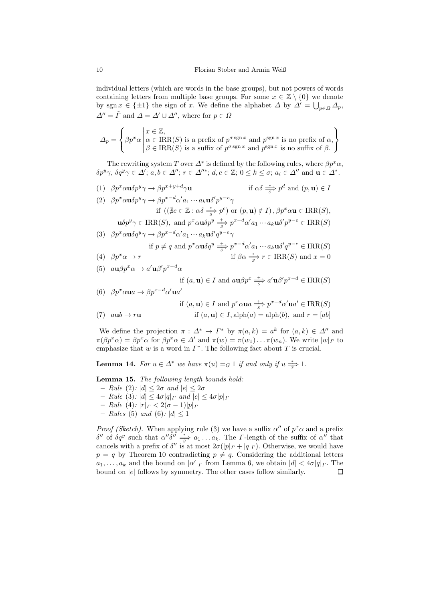individual letters (which are words in the base groups), but not powers of words containing letters from multiple base groups. For some  $x \in \mathbb{Z} \setminus \{0\}$  we denote by sgn  $x \in \{\pm 1\}$  the sign of x. We define the alphabet  $\Delta$  by  $\Delta' = \bigcup_{p \in \Omega} \Delta_p$ ,  $\Delta'' = \tilde{\Gamma}$  and  $\Delta = \Delta' \cup \Delta''$ , where for  $p \in \Omega$ 

$$
\Delta_p = \left\{ \beta p^x \alpha \middle| \begin{aligned} &x \in \mathbb{Z}, \\ &\alpha \in \text{IRR}(S) \text{ is a prefix of } p^{\sigma \text{ sgn } x} \text{ and } p^{\text{ sgn } x} \text{ is no prefix of } \alpha, \\ &\beta \in \text{IRR}(S) \text{ is a suffix of } p^{\sigma \text{ sgn } x} \text{ and } p^{\text{ sgn } x} \text{ is no suffix of } \beta. \end{aligned} \right\}
$$

The rewriting system T over  $\Delta^*$  is defined by the following rules, where  $\beta p^x \alpha$ ,  $\delta p^y \gamma$ ,  $\delta q^y \gamma \in \Delta'$ ;  $a, b \in \Delta''$ ;  $r \in \Delta''^*$ ;  $d, e \in \mathbb{Z}$ ;  $0 \le k \le \sigma$ ;  $a_i \in \Delta''$  and  $\mathbf{u} \in \Delta^*$ .

- <span id="page-9-6"></span>(1)  $\beta p^x \alpha \mathbf{u} \delta p^y \gamma \to \beta p^{x+y+d} \gamma \mathbf{u}$  if  $\alpha \delta \stackrel{*}{\Rightarrow} p^d$  and  $(p, \mathbf{u}) \in I$  $\gamma$ **u** if  $\alpha \delta \stackrel{*}{\Rightarrow} p^d$
- <span id="page-9-1"></span>(2)  $\beta p^x \alpha \mathbf{u} \delta p^y \gamma \rightarrow \beta p^{x-d} \alpha' a_1 \cdots a_k \mathbf{u} \delta' p^{y-e} \gamma$ if  $((\nexists c \in \mathbb{Z} : \alpha \delta \xrightarrow[s]{*} p^c)$  or  $(p, \mathbf{u}) \notin I)$ ,  $\beta p^x \alpha \mathbf{u} \in \text{IRR}(S)$ ,  $\mathbf{u}\delta p^y \gamma \in \text{IRR}(S)$ , and  $p^x \alpha \mathbf{u} \delta p^y \stackrel{+}{\Rightarrow} p^{x-d} \alpha' a_1 \cdots a_k \mathbf{u} \delta' p^{y-e} \in \text{IRR}(S)$

<span id="page-9-2"></span>(3) 
$$
\beta p^x \alpha \mathbf{u} \delta q^y \gamma \rightarrow \beta p^{x-d} \alpha' a_1 \cdots a_k \mathbf{u} \delta' q^{y-e} \gamma
$$
  
if  $p \neq q$  and  $p^x \alpha \mathbf{u} \delta q^y \stackrel{+}{\Rightarrow} p^{x-d} \alpha' a_1 \cdots a_k \mathbf{u} \delta' q^{y-e} \in \text{IRR}(S)$ 

<span id="page-9-3"></span>(4) 
$$
\beta p^x \alpha \to r
$$
 if  $\beta \alpha \stackrel{*}{\Rightarrow} r \in \text{IRR}(S)$  and  $x = 0$ 

<span id="page-9-4"></span>(5) 
$$
a\mathbf{u}\beta p^x\alpha \rightarrow a'\mathbf{u}\beta' p^{x-d}\alpha
$$

if 
$$
(a, \mathbf{u}) \in I
$$
 and  $a\mathbf{u}\beta p^x \stackrel{+}{\Rightarrow} a'\mathbf{u}\beta' p^{x-d} \in \text{IRR}(S)$ 

<span id="page-9-5"></span>(6) 
$$
\beta p^x \alpha \mathbf{u} a \rightarrow \beta p^{x-d} \alpha' \mathbf{u} a'
$$
  
if  $(a, \mathbf{u}) \in I$  and  $p^x \alpha \mathbf{u} a \stackrel{+}{\Rightarrow} p^{x-d} \alpha' \mathbf{u} a' \in \text{IRR}(S)$ 

<span id="page-9-7"></span>(7) 
$$
aub \rightarrow ru
$$
 if  $(a, \mathbf{u}) \in I$ ,  $alpha(a) = \alpha \ln(b)$ , and  $r = [ab]$ 

We define the projection  $\pi : \Delta^* \to \Gamma^*$  by  $\pi(a, k) = a^k$  for  $(a, k) \in \Delta''$  and  $\pi(\beta p^x\alpha) = \beta p^x\alpha$  for  $\beta p^x\alpha \in \Delta'$  and  $\pi(w) = \pi(w_1) \dots \pi(w_n)$ . We write  $|w|_p$  to emphasize that  $w$  is a word in  $\Gamma^*$ . The following fact about  $T$  is crucial.

<span id="page-9-8"></span>**Lemma 14.** For  $u \in \Delta^*$  we have  $\pi(u) = G 1$  if and only if  $u \stackrel{*}{\overline{T}} 1$ .

<span id="page-9-0"></span>Lemma 15. The following length bounds hold:

- Rule [\(2\)](#page-9-1):  $|d| < 2\sigma$  and  $|e| < 2\sigma$
- Rule [\(3\)](#page-9-2):  $|d| \leq 4\sigma |q|_F$  and  $|e| \leq 4\sigma |p|_F$
- Rule [\(4\)](#page-9-3): |r|<sup>Γ</sup> < 2(σ − 1)|p|<sup>Γ</sup>
- Rules [\(5\)](#page-9-4) and [\(6\)](#page-9-5):  $|d| \leq 1$

*Proof (Sketch)*. When applying rule [\(3\)](#page-9-2) we have a suffix  $\alpha''$  of  $p^x \alpha$  and a prefix  $\delta''$  of  $\delta q^y$  such that  $\alpha'' \delta'' \stackrel{*}{\Rightarrow} a_1 \dots a_k$ . The *Γ*-length of the suffix of  $\alpha''$  that cancels with a prefix of  $\delta''$  is at most  $2\sigma(|p|_F + |q|_F)$ . Otherwise, we would have  $p = q$  by [Theorem 10](#page-6-2) contradicting  $p \neq q$ . Considering the additional letters  $a_1, \ldots, a_k$  and the bound on  $|\alpha'|_F$  from [Lemma 6,](#page-6-3) we obtain  $|d| < 4\sigma |q|_F$ . The bound on  $|e|$  follows by symmetry. The other cases follow similarly.  $\Box$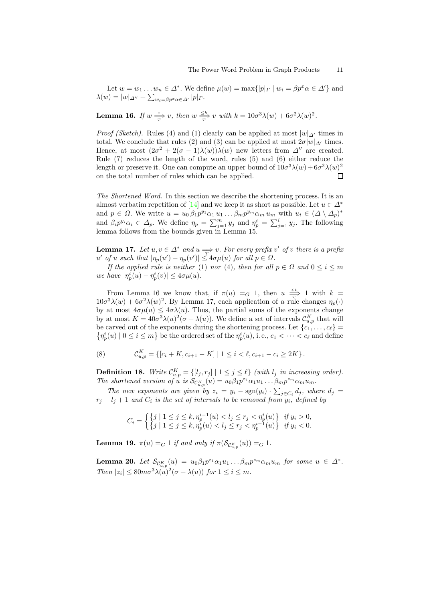<span id="page-10-1"></span>Let  $w = w_1 \dots w_n \in \Delta^*$ . We define  $\mu(w) = \max\{|p|_r \mid w_i = \beta p^x \alpha \in \Delta'\}$  and  $\lambda(w) = |w|_{\Delta''} + \sum_{w_i = \beta p^x \alpha \in \Delta'} |p|_{\Gamma}.$ 

**Lemma 16.** If  $w \xrightarrow[\text{m}]{*} v$ , then  $w \xrightarrow[\text{m}]{\leq k} v$  with  $k = 10\sigma^3 \lambda(w) + 6\sigma^2 \lambda(w)^2$ .

*Proof (Sketch).* Rules [\(4\)](#page-9-3) and [\(1\)](#page-9-6) clearly can be applied at most  $|w|_{\mathcal{N}}$  times in total. We conclude that rules [\(2\)](#page-9-1) and [\(3\)](#page-9-2) can be applied at most  $2\sigma|w|_{\mathcal{A}}$  times. Hence, at most  $(2\sigma^2 + 2(\sigma - 1)\lambda(w))\lambda(w)$  new letters from  $\Delta''$  are created. Rule [\(7\)](#page-9-7) reduces the length of the word, rules [\(5\)](#page-9-4) and [\(6\)](#page-9-5) either reduce the length or preserve it. One can compute an upper bound of  $10\sigma^3\lambda(w) + 6\sigma^2\lambda(w)^2$ on the total number of rules which can be applied.  $\Box$ 

The Shortened Word. In this section we describe the shortening process. It is an almost verbatim repetition of [\[14](#page-12-3)] and we keep it as short as possible. Let  $u \in \Delta^*$ and  $p \in \Omega$ . We write  $u = u_0 \beta_1 p^{y_1} \alpha_1 u_1 \dots \beta_m p^{y_m} \alpha_m u_m$  with  $u_i \in (\Delta \setminus \Delta_p)^*$ and  $\beta_i p^{y_i} \alpha_i \in \Delta_p$ . We define  $\eta_p = \sum_{j=1}^m y_j$  and  $\eta_p^i = \sum_{j=1}^i y_j$ . The following lemma follows from the bounds given in [Lemma 15.](#page-9-0)

<span id="page-10-2"></span>**Lemma 17.** Let  $u, v \in \Delta^*$  and  $u \Longrightarrow v$ . For every prefix v' of v there is a prefix u' of u such that  $|\eta_p(u') - \eta_p(v')| \leq 4\sigma \mu(u)$  for all  $p \in \Omega$ .

If the applied rule is neither [\(1\)](#page-9-6) nor [\(4\)](#page-9-3), then for all  $p \in \Omega$  and  $0 \le i \le m$ we have  $|\eta_p^i(u) - \eta_p^i(v)| \leq 4\sigma \mu(u)$ .

From [Lemma 16](#page-10-1) we know that, if  $\pi(u) = G$  1, then  $u \frac{\leq k}{T}$  1 with  $k =$  $10\sigma^3\lambda(w) + 6\sigma^2\lambda(w)^2$ . By [Lemma 17,](#page-10-2) each application of a rule changes  $\eta_p(\cdot)$ by at most  $4\sigma\mu(u) \leq 4\sigma\lambda(u)$ . Thus, the partial sums of the exponents change by at most  $K = 40\sigma^3\lambda(u)^2(\sigma + \lambda(u))$ . We define a set of intervals  $\mathcal{C}_{u,p}^K$  that will be carved out of the exponents during the shortening process. Let  ${c_1, \ldots, c_\ell}$  $\{\eta_p^i(u) \mid 0 \leq i \leq m\}$  be the ordered set of the  $\eta_p^i(u)$ , i.e.,  $c_1 < \cdots < c_\ell$  and define

<span id="page-10-5"></span>(8) 
$$
\mathcal{C}_{u,p}^K = \{ [c_i + K, c_{i+1} - K] \mid 1 \leq i < \ell, c_{i+1} - c_i \geq 2K \}.
$$

<span id="page-10-0"></span>**Definition 18.** Write  $\mathcal{C}_{u,p}^K = \{[l_j, r_j] \mid 1 \leq j \leq \ell\}$  (with  $l_j$  in increasing order). The shortened version of u is  $\mathcal{S}_{\mathcal{C}_{u,p}^{K}}(u) = u_0 \beta_1 p^{z_1} \alpha_1 u_1 \dots \beta_m p^{z_m} \alpha_m u_m$ .

The new exponents are given by  $z_i = y_i - \text{sgn}(y_i) \cdot \sum_{j \in C_i} d_j$ , where  $d_j =$  $r_j - l_j + 1$  and  $C_i$  is the set of intervals to be removed from  $y_i$ , defined by

$$
C_i = \left\{ \begin{cases} j \mid 1 \leq j \leq k, \eta_p^{i-1}(u) < l_j \leq r_j < \eta_p^i(u) \\ j \mid 1 \leq j \leq k, \eta_p^i(u) < l_j \leq r_j < \eta_p^{i-1}(u) \end{cases} \right\} \begin{cases} \text{if } y_i > 0, \\ \text{if } y_i < 0. \end{cases}
$$

<span id="page-10-4"></span>**Lemma 19.**  $\pi(u) =_G 1$  if and only if  $\pi(\mathcal{S}_{\mathcal{C}^K_{u,p}}(u)) =_G 1$ .

<span id="page-10-3"></span>**Lemma 20.** Let  $\mathcal{S}_{\mathcal{C}_{u,p}^K}(u) = u_0 \beta_1 p^{z_1} \alpha_1 u_1 \dots \beta_m p^{z_m} \alpha_m u_m$  for some  $u \in \Delta^*$ . Then  $|z_i| \leq 80m\sigma^3\lambda(u)^2(\sigma+\lambda(u))$  for  $1 \leq i \leq m$ .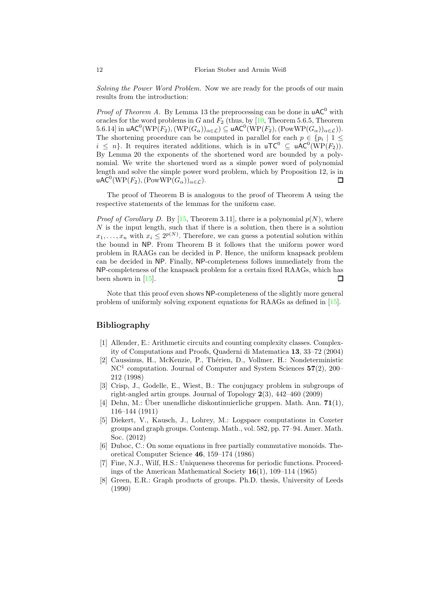Solving the Power Word Problem. Now we are ready for the proofs of our main results from the introduction:

*Proof of Theorem [A.](#page-1-0)* By [Lemma 13](#page-8-0) the preprocessing can be done in  $\mu AC^0$  with oracles for the word problems in G and  $F_2$  (thus, by [\[10,](#page-12-4) Theorem 5.6.5, Theorem 5.6.14] in uAC<sup>0</sup>(WP(F<sub>2</sub>), (WP( $G_{\alpha}$ )) $_{\alpha \in \mathcal{L}}$ )  $\subseteq$  uAC<sup>0</sup>(WP(F<sub>2</sub>), (PowWP( $G_{\alpha}$ )) $_{\alpha \in \mathcal{L}}$ )). The shortening procedure can be computed in parallel for each  $p \in \{p_i \mid 1 \leq j \leq n\}$  $i \leq n$ . It requires iterated additions, which is in  $uTC^0 \subseteq uAC^0(WP(F_2)).$ By [Lemma 20](#page-10-3) the exponents of the shortened word are bounded by a polynomial. We write the shortened word as a simple power word of polynomial length and solve the simple power word problem, which by [Proposition 12,](#page-8-1) is in uAC<sup>0</sup>(WP(F<sub>2</sub>),(PowWP( $G_{\alpha}$ ))<sub> $\alpha \in \mathcal{L}$ </sub>).  $\square$ 

The proof of Theorem [B](#page-1-1) is analogous to the proof of Theorem [A](#page-1-0) using the respective statements of the lemmas for the uniform case.

*Proof of Corollary [D.](#page-2-1)* By [\[15](#page-12-8), Theorem 3.11], there is a polynomial  $p(N)$ , where  $N$  is the input length, such that if there is a solution, then there is a solution  $x_1, \ldots, x_n$  with  $x_i \leq 2^{p(N)}$ . Therefore, we can guess a potential solution within the bound in NP. From Theorem [B](#page-1-1) it follows that the uniform power word problem in RAAGs can be decided in P. Hence, the uniform knapsack problem can be decided in NP. Finally, NP-completeness follows immediately from the NP-completeness of the knapsack problem for a certain fixed RAAGs, which has been shown in [\[15\]](#page-12-8).  $\Box$ 

Note that this proof even shows NP-completeness of the slightly more general problem of uniformly solving exponent equations for RAAGs as defined in [\[15\]](#page-12-8).

## Bibliography

- <span id="page-11-3"></span>[1] Allender, E.: Arithmetic circuits and counting complexity classes. Complexity of Computations and Proofs, Quaderni di Matematica 13, 33–72 (2004)
- <span id="page-11-7"></span>[2] Caussinus, H., McKenzie, P., Thérien, D., Vollmer, H.: Nondeterministic NC<sup>1</sup> computation. Journal of Computer and System Sciences 57(2), 200– 212 (1998)
- <span id="page-11-4"></span>[3] Crisp, J., Godelle, E., Wiest, B.: The conjugacy problem in subgroups of right-angled artin groups. Journal of Topology 2(3), 442–460 (2009)
- <span id="page-11-0"></span>[4] Dehn, M.: Über unendliche diskontinuierliche gruppen. Math. Ann.  $71(1)$ , 116–144 (1911)
- <span id="page-11-2"></span>[5] Diekert, V., Kausch, J., Lohrey, M.: Logspace computations in Coxeter groups and graph groups. Contemp. Math., vol. 582, pp. 77–94. Amer. Math. Soc. (2012)
- <span id="page-11-5"></span>[6] Duboc, C.: On some equations in free partially commutative monoids. Theoretical Computer Science 46, 159–174 (1986)
- <span id="page-11-6"></span>[7] Fine, N.J., Wilf, H.S.: Uniqueness theorems for periodic functions. Proceedings of the American Mathematical Society 16(1), 109–114 (1965)
- <span id="page-11-1"></span>Green, E.R.: Graph products of groups. Ph.D. thesis, University of Leeds (1990)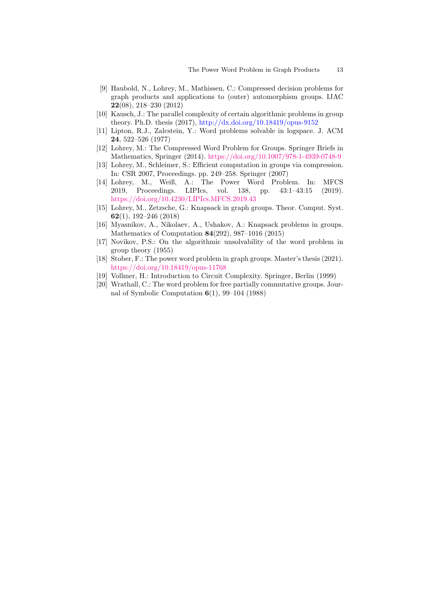- <span id="page-12-5"></span>[9] Haubold, N., Lohrey, M., Mathissen, C.: Compressed decision problems for graph products and applications to (outer) automorphism groups. IJAC 22(08), 218–230 (2012)
- <span id="page-12-4"></span>[10] Kausch, J.: The parallel complexity of certain algorithmic problems in group theory. Ph.D. thesis (2017), <http://dx.doi.org/10.18419/opus-9152>
- <span id="page-12-1"></span>[11] Lipton, R.J., Zalcstein, Y.: Word problems solvable in logspace. J. ACM 24, 522–526 (1977)
- <span id="page-12-2"></span>[12] Lohrey, M.: The Compressed Word Problem for Groups. Springer Briefs in Mathematics, Springer (2014). <https://doi.org/10.1007/978-1-4939-0748-9>
- <span id="page-12-6"></span>[13] Lohrey, M., Schleimer, S.: Efficient computation in groups via compression. In: CSR 2007, Proceedings. pp. 249–258. Springer (2007)
- <span id="page-12-3"></span>[14] Lohrey, M., Weiß, A.: The Power Word Problem. In: MFCS 2019, Proceedings. LIPIcs, vol. 138, pp. 43:1–43:15 (2019). <https://doi.org/10.4230/LIPIcs.MFCS.2019.43>
- <span id="page-12-8"></span>[15] Lohrey, M., Zetzsche, G.: Knapsack in graph groups. Theor. Comput. Syst. 62(1), 192–246 (2018)
- <span id="page-12-7"></span>[16] Myasnikov, A., Nikolaev, A., Ushakov, A.: Knapsack problems in groups. Mathematics of Computation 84(292), 987–1016 (2015)
- <span id="page-12-0"></span>[17] Novikov, P.S.: On the algorithmic unsolvability of the word problem in group theory (1955)
- <span id="page-12-9"></span>[18] Stober, F.: The power word problem in graph groups. Master's thesis (2021). <https://doi.org/10.18419/opus-11768>
- <span id="page-12-10"></span>[19] Vollmer, H.: Introduction to Circuit Complexity. Springer, Berlin (1999)
- <span id="page-12-11"></span>[20] Wrathall, C.: The word problem for free partially commutative groups. Journal of Symbolic Computation 6(1), 99–104 (1988)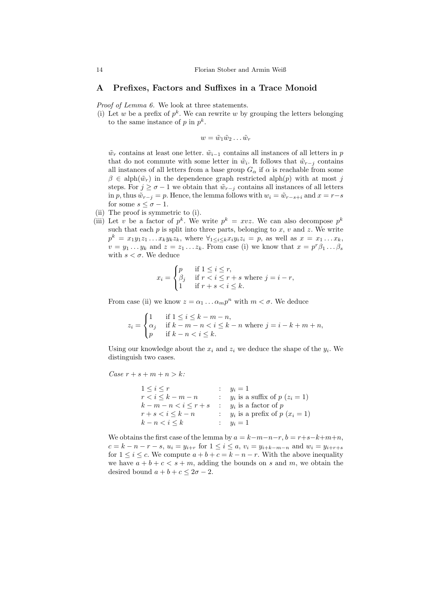### A Prefixes, Factors and Suffixes in a Trace Monoid

Proof of [Lemma 6.](#page-6-3) We look at three statements.

(i) Let w be a prefix of  $p^k$ . We can rewrite w by grouping the letters belonging to the same instance of  $p$  in  $p^k$ .

$$
w=\tilde{w}_1\tilde{w}_2\ldots\tilde{w}_r
$$

 $\tilde{w}_r$  contains at least one letter.  $\tilde{w}_{i-1}$  contains all instances of all letters in p that do not commute with some letter in  $\tilde{w}_i$ . It follows that  $\tilde{w}_{r-j}$  contains all instances of all letters from a base group  $G_{\alpha}$  if  $\alpha$  is reachable from some  $\beta \in \text{alph}(\tilde{w}_r)$  in the dependence graph restricted alph(p) with at most j steps. For  $j \geq \sigma - 1$  we obtain that  $\tilde{w}_{r-j}$  contains all instances of all letters in p, thus  $\tilde{w}_{r-j} = p$ . Hence, the lemma follows with  $w_i = \tilde{w}_{r-s+i}$  and  $x = r-s$ for some  $s \leq \sigma - 1$ .

- (ii) The proof is symmetric to (i).
- (iii) Let v be a factor of  $p^k$ . We write  $p^k = xyz$ . We can also decompose  $p^k$ such that each  $p$  is split into three parts, belonging to  $x, v$  and  $z$ . We write  $p^k = x_1y_1z_1 \ldots x_ky_kz_k$ , where  $\forall_{1 \leq i \leq k} x_iy_iz_i = p$ , as well as  $x = x_1 \ldots x_k$ ,  $v = y_1 \dots y_k$  and  $z = z_1 \dots z_k$ . From case (i) we know that  $x = p^r \beta_1 \dots \beta_s$ with  $s < \sigma$ . We deduce

$$
x_i = \begin{cases} p & \text{if } 1 \le i \le r, \\ \beta_j & \text{if } r < i \le r + s \text{ where } j = i - r, \\ 1 & \text{if } r + s < i \le k. \end{cases}
$$

From case (ii) we know  $z = \alpha_1 \dots \alpha_m p^n$  with  $m < \sigma$ . We deduce

$$
z_i = \begin{cases} 1 & \text{if } 1 \le i \le k - m - n, \\ \alpha_j & \text{if } k - m - n < i \le k - n \text{ where } j = i - k + m + n, \\ p & \text{if } k - n < i \le k. \end{cases}
$$

Using our knowledge about the  $x_i$  and  $z_i$  we deduce the shape of the  $y_i$ . We distinguish two cases.

Case  $r + s + m + n > k$ :

$$
\begin{array}{rcl}\n1 \leq i \leq r & : & y_i = 1 \\
r < i \leq k - m - n & : & y_i \text{ is a suffix of } p \ (z_i = 1) \\
k - m - n < i \leq r + s & : & y_i \text{ is a factor of } p \\
r + s < i \leq k - n & : & y_i \text{ is a prefix of } p \ (x_i = 1) \\
k - n < i \leq k & : & y_i = 1\n\end{array}
$$

We obtains the first case of the lemma by  $a = k-m-n-r$ ,  $b = r+s-k+m+n$ ,  $c = k - n - r - s$ ,  $u_i = y_{i+r}$  for  $1 \leq i \leq a$ ,  $v_i = y_{i+k-m-n}$  and  $w_i = y_{i+r+s}$ for  $1 \leq i \leq c$ . We compute  $a + b + c = k - n - r$ . With the above inequality we have  $a + b + c < s + m$ , adding the bounds on s and m, we obtain the desired bound  $a + b + c \leq 2\sigma - 2$ .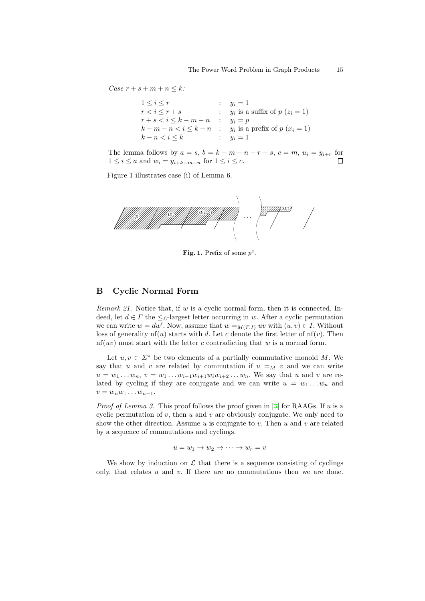Case  $r + s + m + n \leq k$ :

$$
\begin{array}{rcl}\n1 \leq i \leq r & \text{if } & y_i = 1 \\
r < i \leq r + s & \text{if } & y_i \text{ is a suffix of } p \ (z_i = 1) \\
r + s < i \leq k - m - n & \text{if } & y_i = p \\
k - m - n < i \leq k - n & \text{if } & y_i \text{ is a prefix of } p \ (x_i = 1) \\
k - n < i \leq k & \text{if } & y_i = 1\n\end{array}
$$

The lemma follows by  $a = s$ ,  $b = k - m - n - r - s$ ,  $c = m$ ,  $u_i = y_{i+r}$  for  $1 \leq i \leq a$  and  $w_i = y_{i+k-m-n}$  for  $1 \leq i \leq c$ .  $\Box$ 

[Figure 1](#page-14-1) illustrates case (i) of [Lemma 6.](#page-6-3)



<span id="page-14-1"></span>Fig. 1. Prefix of some  $p^x$ .

## B Cyclic Normal Form

<span id="page-14-0"></span>*Remark 21.* Notice that, if w is a cyclic normal form, then it is connected. Indeed, let  $d \in \Gamma$  the  $\leq \mathcal{L}$ -largest letter occurring in w. After a cyclic permutation we can write  $w = dw'$ . Now, assume that  $w =_{M(T, I)} uv$  with  $(u, v) \in I$ . Without loss of generality nf(u) starts with d. Let c denote the first letter of  $nf(v)$ . Then  $nf(uv)$  must start with the letter c contradicting that w is a normal form.

Let  $u, v \in \Sigma^*$  be two elements of a partially commutative monoid M. We say that u and v are related by commutation if  $u =_M v$  and we can write  $u = w_1 ... w_n, v = w_1 ... w_{i-1} w_{i+1} w_i w_{i+2} ... w_n$ . We say that u and v are related by cycling if they are conjugate and we can write  $u = w_1 \dots w_n$  and  $v = w_n w_1 \dots w_{n-1}.$ 

*Proof of [Lemma 3.](#page-5-2)* This proof follows the proof given in  $\lceil 3 \rceil$  for RAAGs. If u is a cyclic permutation of  $v$ , then  $u$  and  $v$  are obviously conjugate. We only need to show the other direction. Assume  $u$  is conjugate to  $v$ . Then  $u$  and  $v$  are related by a sequence of commutations and cyclings.

 $u = w_1 \rightarrow w_2 \rightarrow \cdots \rightarrow w_r = v$ 

We show by induction on  $\mathcal L$  that there is a sequence consisting of cyclings only, that relates  $u$  and  $v$ . If there are no commutations then we are done.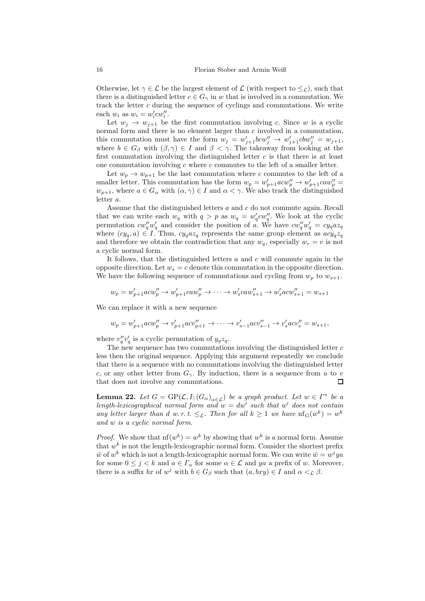Otherwise, let  $\gamma \in \mathcal{L}$  be the largest element of  $\mathcal{L}$  (with respect to  $\leq_{\mathcal{L}}$ ), such that there is a distinguished letter  $c \in G_\gamma$  in w that is involved in a commutation. We track the letter  $c$  during the sequence of cyclings and commutations. We write each  $w_i$  as  $w_i = w'_i c w''_i$ .

Let  $w_j \to w_{j+1}$  be the first commutation involving c. Since w is a cyclic normal form and there is no element larger than  $c$  involved in a commutation, this commutation must have the form  $w_j = w'_{j+1}bcw''_j \rightarrow w'_{j+1}cbw''_j = w_{j+1}$ , where  $b \in G_\beta$  with  $(\beta, \gamma) \in I$  and  $\beta < \gamma$ . The takeaway from looking at the first commutation involving the distinguished letter  $c$  is that there is at least one commutation involving  $c$  where  $c$  commutes to the left of a smaller letter.

Let  $w_p \to w_{p+1}$  be the last commutation where c commutes to the left of a smaller letter. This commutation has the form  $w_p = w'_{p+1}acw''_p \rightarrow w'_{p+1}caw''_p =$  $w_{p+1}$ , where  $a \in G_\alpha$  with  $(\alpha, \gamma) \in I$  and  $\alpha < \gamma$ . We also track the distinguished letter a.

Assume that the distinguished letters a and c do not commute again. Recall that we can write each  $w_q$  with  $q > p$  as  $w_q = w'_q c w''_q$ . We look at the cyclic permutation  $cw''_q w'_q$  and consider the position of a. We have  $cw''_q w'_q = cy_q a z_q$ where  $(cy_q, a) \in I$ . Thus,  $cy_qaz_q$  represents the same group element as  $acy_qz_q$ and therefore we obtain the contradiction that any  $w_q$ , especially  $w_r = v$  is not a cyclic normal form.

It follows, that the distinguished letters  $a$  and  $c$  will commute again in the opposite direction. Let  $w_s = c$  denote this commutation in the opposite direction. We have the following sequence of commutations and cycling from  $w_p$  to  $w_{s+1}$ .

$$
w_p = w'_{p+1}acw''_p \rightarrow w'_{p+1}caw''_p \rightarrow \cdots \rightarrow w'_scaw''_{s+1} \rightarrow w'_sacw''_{s+1} = w_{s+1}
$$

We can replace it with a new sequence

$$
w_p = w'_{p+1}acw''_p \to v'_{p+1}acv''_{p+1} \to \cdots \to v'_{s-1}acv''_{s-1} \to v'_{s}acv''_s = w_{s+1},
$$

where  $v''_q v'_q$  is a cyclic permutation of  $y_q z_q$ .

The new sequence has two commutations involving the distinguished letter  $c$ less then the original sequence. Applying this argument repeatedly we conclude that there is a sequence with no commutations involving the distinguished letter c, or any other letter from  $G_{\gamma}$ . By induction, there is a sequence from u to v that does not involve any commutations. □

<span id="page-15-0"></span>**Lemma 22.** Let  $G = \text{GP}(\mathcal{L}, I; (G_\alpha)_{\alpha \in \mathcal{L}})$  be a graph product. Let  $w \in I^*$  be a length-lexicographical normal form and  $w = dw'$  such that w' does not contain any letter larger than d w.r.t.  $\leq_{\mathcal{L}}$ . Then for all  $k \geq 1$  we have  $\text{nf}_G(w^k) = w^k$ and w is a cyclic normal form.

*Proof.* We show that  $nf(w^k) = w^k$  by showing that  $w^k$  is a normal form. Assume that  $w^k$  is not the length-lexicographic normal form. Consider the shortest prefix  $\tilde{w}$  of  $w^k$  which is not a length-lexicographic normal form. We can write  $\tilde{w} = w^j y a$ for some  $0 \leq j < k$  and  $a \in \Gamma_\alpha$  for some  $\alpha \in \mathcal{L}$  and ya a prefix of w. Moreover, there is a suffix bx of  $w^j$  with  $b \in G_\beta$  such that  $(a, bxy) \in I$  and  $\alpha <_{\mathcal{L}} \beta$ .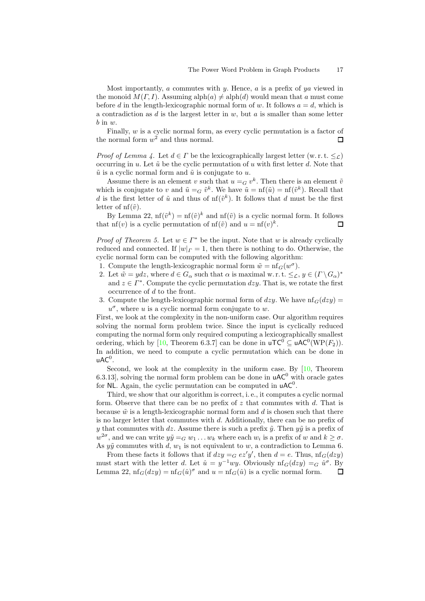Most importantly,  $a$  commutes with  $y$ . Hence,  $a$  is a prefix of  $ya$  viewed in the monoid  $M(\Gamma, I)$ . Assuming alph $(a) \neq$  alph $(d)$  would mean that a must come before d in the length-lexicographic normal form of w. It follows  $a = d$ , which is a contradiction as d is the largest letter in  $w$ , but a is smaller than some letter  $b$  in  $w$ .

Finally, w is a cyclic normal form, as every cyclic permutation is a factor of the normal form  $w^2$  and thus normal.  $\Box$ 

*Proof of [Lemma 4.](#page-5-3)* Let  $d \in \Gamma$  be the lexicographically largest letter (w. r. t.  $\leq_{\Gamma}$ ) occurring in u. Let  $\tilde{u}$  be the cyclic permutation of u with first letter d. Note that  $\tilde{u}$  is a cyclic normal form and  $\tilde{u}$  is conjugate to u.

Assume there is an element v such that  $u = G v^k$ . Then there is an element  $\tilde{v}$ which is conjugate to v and  $\tilde{u} = G \tilde{v}^k$ . We have  $\tilde{u} = nf(\tilde{u}) = nf(\tilde{v}^k)$ . Recall that d is the first letter of  $\tilde{u}$  and thus of  $\text{nf}(\tilde{v}^k)$ . It follows that d must be the first letter of  $\text{nf}(\tilde{v})$ .

By [Lemma 22,](#page-15-0)  $\text{nf}(\tilde{v}^k) = \text{nf}(\tilde{v})^k$  and  $\text{nf}(\tilde{v})$  is a cyclic normal form. It follows that nf(*v*) is a cyclic permutation of  $nf(\tilde{v})$  and  $u = nf(v)^k$ . П

*Proof of [Theorem 5.](#page-5-0)* Let  $w \in \Gamma^*$  be the input. Note that w is already cyclically reduced and connected. If  $|w|_F = 1$ , then there is nothing to do. Otherwise, the cyclic normal form can be computed with the following algorithm:

- 1. Compute the length-lexicographic normal form  $\tilde{w} = nf_{G}(w^{\sigma})$ .
- 2. Let  $\tilde{w} = ydz$ , where  $d \in G_\alpha$  such that  $\alpha$  is maximal w.r.t.  $\leq_{\mathcal{L}}$ ,  $y \in (\Gamma \setminus G_\alpha)^*$ and  $z \in \Gamma^*$ . Compute the cyclic permutation dzy. That is, we rotate the first occurrence of d to the front.
- 3. Compute the length-lexicographic normal form of dzy. We have  $\text{nf}_G(dzy)$  =  $u^{\sigma}$ , where u is a cyclic normal form conjugate to w.

First, we look at the complexity in the non-uniform case. Our algorithm requires solving the normal form problem twice. Since the input is cyclically reduced computing the normal form only required computing a lexicographically smallest ordering, which by [\[10,](#page-12-4) Theorem 6.3.7] can be done in  $uTC^0 \subseteq uAC^0(WP(F_2)).$ In addition, we need to compute a cyclic permutation which can be done in  $uAC<sup>0</sup>$ .

Second, we look at the complexity in the uniform case. By [\[10,](#page-12-4) Theorem 6.3.13, solving the normal form problem can be done in  $\mathsf{uAC}^0$  with oracle gates for NL. Again, the cyclic permutation can be computed in  $uAC^0$ .

Third, we show that our algorithm is correct, i. e., it computes a cyclic normal form. Observe that there can be no prefix of  $z$  that commutes with  $d$ . That is because  $\tilde{w}$  is a length-lexicographic normal form and d is chosen such that there is no larger letter that commutes with d. Additionally, there can be no prefix of y that commutes with dz. Assume there is such a prefix  $\tilde{y}$ . Then  $y\tilde{y}$  is a prefix of  $w^{2\sigma}$ , and we can write  $y\tilde{y} =_G w_1 \dots w_k$  where each  $w_i$  is a prefix of w and  $k \ge \sigma$ . As  $y\tilde{y}$  commutes with d,  $w_1$  is not equivalent to w, a contradiction to [Lemma 6.](#page-6-3)

From these facts it follows that if  $dzy = G e^z'y'$ , then  $d = e$ . Thus,  $\text{nf}_G(dzy)$ must start with the letter d. Let  $\hat{u} = y^{-1}wy$ . Obviously  $\text{nf}_G(dzy) =_G \hat{u}^\sigma$ . By [Lemma 22,](#page-15-0)  $\text{nf}_G(dzy) = \text{nf}_G(\hat{u})^{\sigma}$  and  $u = \text{nf}_G(\hat{u})$  is a cyclic normal form.  $\Box$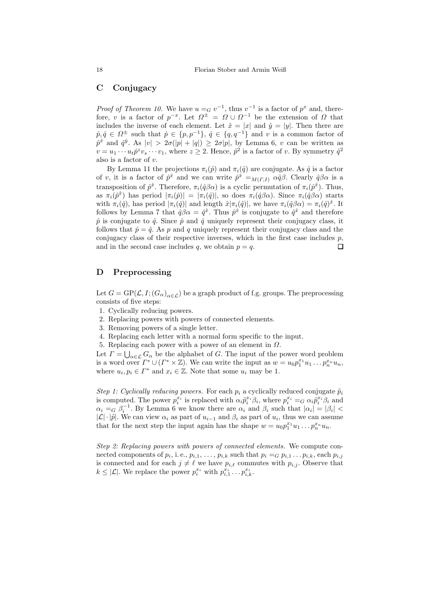## C Conjugacy

*Proof of [Theorem 10.](#page-6-2)* We have  $u = G v^{-1}$ , thus  $v^{-1}$  is a factor of  $p^x$  and, therefore, v is a factor of  $p^{-x}$ . Let  $\Omega^{\pm} = \Omega \cup \Omega^{-1}$  be the extension of  $\Omega$  that includes the inverse of each element. Let  $\hat{x} = |x|$  and  $\hat{y} = |y|$ . Then there are p,  $\hat{p}, \hat{q} \in \Omega^{\pm}$  such that  $\hat{p} \in \{p, p^{-1}\}, \hat{q} \in \{q, q^{-1}\}\$  and v is a common factor of  $\hat{p}^{\hat{x}}$  and  $\hat{q}^{\hat{y}}$ . As  $|v| > 2\sigma(|p| + |q|) \geq 2\sigma|p|$ , by [Lemma 6,](#page-6-3) v can be written as  $v = u_1 \cdots u_t \hat{p}^z v_s \cdots v_1$ , where  $z \geq 2$ . Hence,  $\hat{p}^2$  is a factor of v. By symmetry  $\hat{q}^2$ also is a factor of v.

By [Lemma 11](#page-7-0) the projections  $\pi_i(\hat{p})$  and  $\pi_i(\hat{q})$  are conjugate. As  $\hat{q}$  is a factor of v, it is a factor of  $\hat{p}^{\hat{x}}$  and we can write  $\hat{p}^{\hat{x}} =_{M(\Gamma,I)} \alpha \hat{q} \beta$ . Clearly  $\hat{q} \beta \alpha$  is a transposition of  $\hat{p}^{\hat{x}}$ . Therefore,  $\pi_i(\hat{q}\beta\alpha)$  is a cyclic permutation of  $\pi_i(\hat{p}^{\hat{x}})$ . Thus, as  $\pi_i(\hat{p}^{\hat{x}})$  has period  $|\pi_i(\hat{p})| = |\pi_i(\hat{q})|$ , so does  $\pi_i(\hat{q}\beta\alpha)$ . Since  $\pi_i(\hat{q}\beta\alpha)$  starts with  $\pi_i(\hat{q})$ , has period  $|\pi_i(\hat{q})|$  and length  $\hat{x}|\pi_i(\hat{q})|$ , we have  $\pi_i(\hat{q}\beta\alpha) = \pi_i(\hat{q})^{\hat{x}}$ . It follows by [Lemma 7](#page-6-4) that  $\hat{q}\beta\alpha = \hat{q}^{\hat{x}}$ . Thus  $\hat{p}^{\hat{x}}$  is conjugate to  $\hat{q}^{\hat{x}}$  and therefore  $\hat{p}$  is conjugate to  $\hat{q}$ . Since  $\hat{p}$  and  $\hat{q}$  uniquely represent their conjugacy class, it follows that  $\hat{p} = \hat{q}$ . As p and q uniquely represent their conjugacy class and the conjugacy class of their respective inverses, which in the first case includes  $p$ , and in the second case includes q, we obtain  $p = q$ .  $\Box$ 

## D Preprocessing

Let  $G = \text{GP}(\mathcal{L}, I; (G_{\alpha})_{\alpha \in \mathcal{L}})$  be a graph product of f.g. groups. The preprocessing consists of five steps:

- 1. Cyclically reducing powers.
- 2. Replacing powers with powers of connected elements.
- 3. Removing powers of a single letter.
- 4. Replacing each letter with a normal form specific to the input.
- 5. Replacing each power with a power of an element in Ω.

Let  $\Gamma = \bigcup_{\alpha \in \mathcal{L}} G_{\alpha}$  be the alphabet of G. The input of the power word problem is a word over  $\Gamma^* \cup (\Gamma^* \times \mathbb{Z})$ . We can write the input as  $w = u_0 p_1^{x_1} u_1 \dots p_n^{x_n} u_n$ , where  $u_i, p_i \in \Gamma^*$  and  $x_i \in \mathbb{Z}$ . Note that some  $u_i$  may be 1.

Step 1: Cyclically reducing powers. For each  $p_i$  a cyclically reduced conjugate  $\tilde{p}_i$ is computed. The power  $p_i^{x_i}$  is replaced with  $\alpha_i \tilde{p}_i^{x_i} \beta_i$ , where  $p_i^{x_i} =_G \alpha_i \tilde{p}_i^{x_i} \beta_i$  and  $\alpha_i =_G \beta_i^{-1}$ . By [Lemma 6](#page-6-3) we know there are  $\alpha_i$  and  $\beta_i$  such that  $|\alpha_i| = |\beta_i|$  $|\mathcal{L}| \cdot |\tilde{p}|$ . We can view  $\alpha_i$  as part of  $u_{i-1}$  and  $\beta_i$  as part of  $u_i$ , thus we can assume that for the next step the input again has the shape  $w = u_0 p_1^{x_1} u_1 \dots p_n^{x_n} u_n$ .

Step 2: Replacing powers with powers of connected elements. We compute connected components of  $p_i$ , i.e.,  $p_{i,1}, \ldots, p_{i,k}$  such that  $p_i =_G p_{i,1} \ldots p_{i,k}$ , each  $p_{i,j}$ is connected and for each  $j \neq \ell$  we have  $p_{i,\ell}$  commutes with  $p_{i,j}$ . Observe that  $k \leq |\mathcal{L}|$ . We replace the power  $p_i^{x_i}$  with  $p_{i,1}^{x_i} \dots p_{i,k}^{x_i}$ .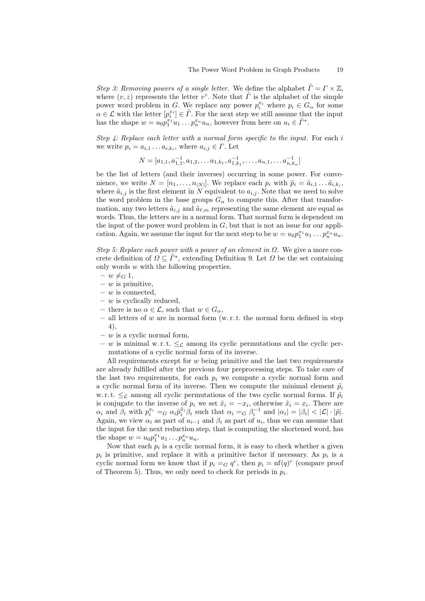Step 3: Removing powers of a single letter. We define the alphabet  $\tilde{\Gamma} = \Gamma \times \mathbb{Z}$ , where  $(v, z)$  represents the letter  $v^z$ . Note that  $\tilde{\Gamma}$  is the alphabet of the simple power word problem in G. We replace any power  $p_i^x$  where  $p_i \in G_\alpha$  for some  $\alpha \in \mathcal{L}$  with the letter  $[p_i^{x_i}] \in \tilde{\Gamma}$ . For the next step we still assume that the input has the shape  $w = u_0 p_1^{x_1} u_1 \dots p_n^{x_n} u_n$ , however from here on  $u_i \in \tilde{\Gamma}^*$ .

Step  $\mu$ : Replace each letter with a normal form specific to the input. For each i we write  $p_i = a_{i,1} \dots a_{i,k_i}$ , where  $a_{i,j} \in \Gamma$ . Let

$$
N = [a_{1,1}, a_{1,1}^{-1}, a_{1,2}, \dots a_{1,k_1}, a_{1,k_1}^{-1}, \dots, a_{n,1}, \dots a_{n,k_n}^{-1}]
$$

be the list of letters (and their inverses) occurring in some power. For convenience, we write  $N = [n_1, \ldots, n_{|N|}]$ . We replace each  $p_i$  with  $\tilde{p}_i = \tilde{a}_{i,1} \ldots \tilde{a}_{i,k_i}$ , where  $\tilde{a}_{i,j}$  is the first element in N equivalent to  $a_{i,j}$ . Note that we need to solve the word problem in the base groups  $G_{\alpha}$  to compute this. After that transformation, any two letters  $\tilde{a}_{i,j}$  and  $\tilde{a}_{\ell,m}$  representing the same element are equal as words. Thus, the letters are in a normal form. That normal form is dependent on the input of the power word problem in  $G$ , but that is not an issue for our application. Again, we assume the input for the next step to be  $w = u_0 p_1^{x_1} u_1 \dots p_n^{x_n} u_n$ .

Step 5: Replace each power with a power of an element in  $\Omega$ . We give a more concrete definition of  $\Omega \subseteq \tilde{\Gamma}^*$ , extending [Definition 9.](#page-6-0) Let  $\Omega$  be the set containing only words  $w$  with the following properties.

- $w \neq_G 1$ ,
- $w$  is primitive,
- $w$  is connected,
- $w$  is cyclically reduced,
- there is no  $\alpha \in \mathcal{L}$ , such that  $w \in G_{\alpha}$ ,
- all letters of w are in normal form  $(w, r, t)$ , the normal form defined in step 4),
- $w$  is a cyclic normal form,
- w is minimal w.r.t.  $\leq_{\mathcal{L}}$  among its cyclic permutations and the cyclic permutations of a cyclic normal form of its inverse.

All requirements except for  $w$  being primitive and the last two requirements are already fulfilled after the previous four preprocessing steps. To take care of the last two requirements, for each  $p_i$  we compute a cyclic normal form and a cyclic normal form of its inverse. Then we compute the minimal element  $\tilde{p}_i$ w. r. t.  $\leq_{\mathcal{L}}$  among all cyclic permutations of the two cyclic normal forms. If  $\tilde{p}_i$ is conjugate to the inverse of  $p_i$  we set  $\tilde{x}_i = -x_i$ , otherwise  $\tilde{x}_i = x_i$ . There are  $\alpha_i$  and  $\beta_i$  with  $p_i^{x_i} =_G \alpha_i \tilde{p}_i^{\tilde{x}_i} \beta_i$  such that  $\alpha_i =_G \beta_i^{-1}$  and  $|\alpha_i| = |\beta_i| < |\mathcal{L}| \cdot |\tilde{p}|$ . Again, we view  $\alpha_i$  as part of  $u_{i-1}$  and  $\beta_i$  as part of  $u_i$ , thus we can assume that the input for the next reduction step, that is computing the shortened word, has the shape  $w = u_0 p_1^{x_1} u_1 \dots p_n^{x_n} u_n$ .

Now that each  $p_i$  is a cyclic normal form, it is easy to check whether a given  $p_i$  is primitive, and replace it with a primitive factor if necessary. As  $p_i$  is a cyclic normal form we know that if  $p_i = G q^r$ , then  $p_i = nf(q)^r$  (compare proof of [Theorem 5\)](#page-5-0). Thus, we only need to check for periods in  $p_i$ .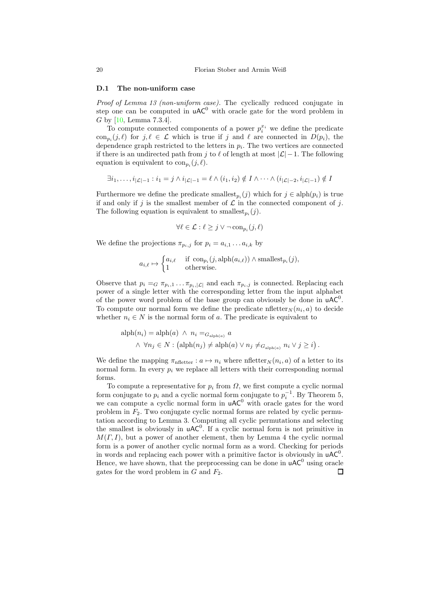#### D.1 The non-uniform case

Proof of [Lemma 13](#page-8-0) (non-uniform case). The cyclically reduced conjugate in step one can be computed in  $uAC^0$  with oracle gate for the word problem in G by [\[10,](#page-12-4) Lemma 7.3.4].

To compute connected components of a power  $p_i^{x_i}$  we define the predicate  $\text{con}_{p_i}(j,\ell)$  for  $j,\ell \in \mathcal{L}$  which is true if j and  $\ell$  are connected in  $D(p_i)$ , the dependence graph restricted to the letters in  $p_i$ . The two vertices are connected if there is an undirected path from j to  $\ell$  of length at most  $|\mathcal{L}|-1$ . The following equation is equivalent to  $\text{con}_{p_i}(j, \ell)$ .

$$
\exists i_1, \ldots, i_{|\mathcal{L}|-1} : i_1 = j \wedge i_{|\mathcal{L}|-1} = \ell \wedge (i_1, i_2) \notin I \wedge \cdots \wedge (i_{|\mathcal{L}|-2}, i_{|\mathcal{L}|-1}) \notin I
$$

Furthermore we define the predicate smallest<sub> $p_i(j)$ </sub> which for  $j \in \text{alph}(p_i)$  is true if and only if j is the smallest member of  $\mathcal L$  in the connected component of j. The following equation is equivalent to smallest<sub> $p_i(j)$ </sub>.

$$
\forall \ell \in \mathcal{L} : \ell \geq j \vee \neg \operatorname{con}_{p_i}(j, \ell)
$$

We define the projections  $\pi_{p_i,j}$  for  $p_i = a_{i,1} \dots a_{i,k}$  by

$$
a_{i,\ell} \mapsto \begin{cases} a_{i,\ell} & \text{if } \text{con}_{p_i}(j,\text{alph}(a_{i,\ell})) \wedge \text{smallest}_{p_i}(j), \\ 1 & \text{otherwise.} \end{cases}
$$

Observe that  $p_i = G \pi_{p_i,1} \dots \pi_{p_i,|\mathcal{L}|}$  and each  $\pi_{p_i,j}$  is connected. Replacing each power of a single letter with the corresponding letter from the input alphabet of the power word problem of the base group can obviously be done in  $uAC^0$ . To compute our normal form we define the predicate nfletter  $_N(n_i, a)$  to decide whether  $n_i \in N$  is the normal form of a. The predicate is equivalent to

$$
\mathrm{alph}(n_i) = \mathrm{alph}(a) \ \land \ n_i =_{G_{\mathrm{alph}(a)}} a
$$

$$
\land \ \forall n_j \in N : (\mathrm{alph}(n_j) \neq \mathrm{alph}(a) \lor n_j \neq_{G_{\mathrm{alph}(a)}} n_i \lor j \geq i).
$$

We define the mapping  $\pi_{\text{nfletter}}: a \mapsto n_i$  where nfletter $_N(n_i, a)$  of a letter to its normal form. In every  $p_i$  we replace all letters with their corresponding normal forms.

To compute a representative for  $p_i$  from  $\Omega$ , we first compute a cyclic normal form conjugate to  $p_i$  and a cyclic normal form conjugate to  $p_i^{-1}$ . By [Theorem 5,](#page-5-0) we can compute a cyclic normal form in  $\mathsf{uAC}^0$  with oracle gates for the word problem in  $F_2$ . Two conjugate cyclic normal forms are related by cyclic permutation according to [Lemma 3.](#page-5-2) Computing all cyclic permutations and selecting the smallest is obviously in  $uAC^0$ . If a cyclic normal form is not primitive in  $M(\Gamma, I)$ , but a power of another element, then by [Lemma 4](#page-5-3) the cyclic normal form is a power of another cyclic normal form as a word. Checking for periods in words and replacing each power with a primitive factor is obviously in  $uAC^0$ . Hence, we have shown, that the preprocessing can be done in  $\mathsf{uAC}^0$  using oracle gates for the word problem in  $G$  and  $F_2$ .  $\Box$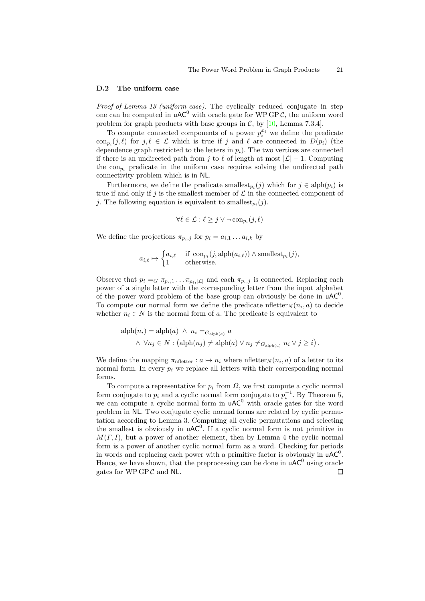#### D.2 The uniform case

Proof of [Lemma 13](#page-8-0) (uniform case). The cyclically reduced conjugate in step one can be computed in  $\mathsf{uAC}^0$  with oracle gate for WP GPC, the uniform word problem for graph products with base groups in  $\mathcal{C}$ , by [\[10,](#page-12-4) Lemma 7.3.4].

To compute connected components of a power  $p_i^{x_i}$  we define the predicate  $\text{con}_{p_i}(j,\ell)$  for  $j,\ell \in \mathcal{L}$  which is true if j and  $\ell$  are connected in  $D(p_i)$  (the dependence graph restricted to the letters in  $p_i$ ). The two vertices are connected if there is an undirected path from j to  $\ell$  of length at most  $|\mathcal{L}| - 1$ . Computing the  $con_{p_i}$  predicate in the uniform case requires solving the undirected path connectivity problem which is in NL.

Furthermore, we define the predicate smallest<sub>pi</sub> $(j)$  which for  $j \in \text{alph}(p_i)$  is true if and only if j is the smallest member of  $\mathcal L$  in the connected component of j. The following equation is equivalent to smallest<sub>pi</sub> $(j)$ .

$$
\forall \ell \in \mathcal{L} : \ell \geq j \vee \neg \operatorname{con}_{p_i}(j, \ell)
$$

We define the projections  $\pi_{p_i,j}$  for  $p_i = a_{i,1} \dots a_{i,k}$  by

$$
a_{i,\ell} \mapsto \begin{cases} a_{i,\ell} & \text{if } \operatorname{con}_{p_i}(j, \text{alph}(a_{i,\ell})) \wedge \text{smallest}_{p_i}(j), \\ 1 & \text{otherwise.} \end{cases}
$$

Observe that  $p_i = G \pi_{p_i,1} \dots \pi_{p_i,|\mathcal{L}|}$  and each  $\pi_{p_i,j}$  is connected. Replacing each power of a single letter with the corresponding letter from the input alphabet of the power word problem of the base group can obviously be done in  $uAC^0$ . To compute our normal form we define the predicate  $\operatorname{nfletter}_N(n_i, a)$  to decide whether  $n_i \in N$  is the normal form of a. The predicate is equivalent to

$$
\mathrm{alph}(n_i) = \mathrm{alph}(a) \ \land \ n_i =_{G_{\mathrm{alph}(a)}} a
$$

$$
\land \ \forall n_j \in N : (\mathrm{alph}(n_j) \neq \mathrm{alph}(a) \lor n_j \neq_{G_{\mathrm{alph}(a)}} n_i \lor j \geq i).
$$

We define the mapping  $\pi_{\text{nfletter}}: a \mapsto n_i$  where nfletter $_N(n_i, a)$  of a letter to its normal form. In every  $p_i$  we replace all letters with their corresponding normal forms.

To compute a representative for  $p_i$  from  $\Omega$ , we first compute a cyclic normal form conjugate to  $p_i$  and a cyclic normal form conjugate to  $p_i^{-1}$ . By [Theorem 5,](#page-5-0) we can compute a cyclic normal form in  $uAC^0$  with oracle gates for the word problem in NL. Two conjugate cyclic normal forms are related by cyclic permutation according to [Lemma 3.](#page-5-2) Computing all cyclic permutations and selecting the smallest is obviously in  $uAC^0$ . If a cyclic normal form is not primitive in  $M(\Gamma, I)$ , but a power of another element, then by [Lemma 4](#page-5-3) the cyclic normal form is a power of another cyclic normal form as a word. Checking for periods in words and replacing each power with a primitive factor is obviously in  $uAC^0$ . Hence, we have shown, that the preprocessing can be done in  $\mathsf{uAC}^0$  using oracle gates for  $WPGPC$  and NL.  $\Box$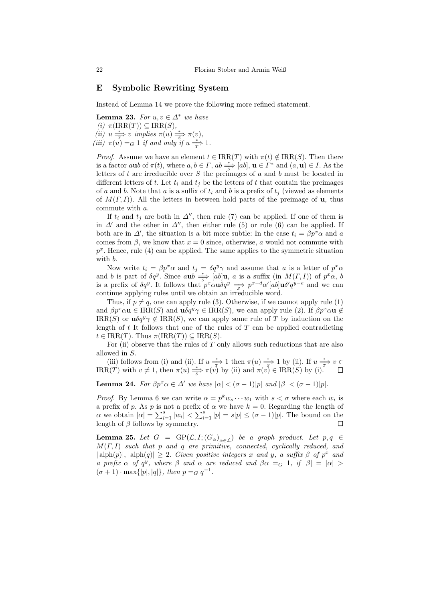## E Symbolic Rewriting System

Instead of [Lemma 14](#page-9-8) we prove the following more refined statement.

Lemma 23. For  $u, v \in \Delta^*$  we have (i)  $\pi(\text{IRR}(T)) \subseteq \text{IRR}(S)$ , (ii)  $u \stackrel{*}{\Longrightarrow} v$  implies  $\pi(u) \stackrel{*}{\Longrightarrow} \pi(v)$ , (iii)  $\pi(u) =_G 1$  if and only if  $u \stackrel{*}{\Rightarrow} 1$ .

*Proof.* Assume we have an element  $t \in \text{IRR}(T)$  with  $\pi(t) \notin \text{IRR}(S)$ . Then there is a factor aub of  $\pi(t)$ , where  $a, b \in \Gamma$ ,  $ab \stackrel{*}{\Rightarrow} [ab]$ ,  $\mathbf{u} \in \Gamma^*$  and  $(a, \mathbf{u}) \in I$ . As the letters of  $t$  are irreducible over  $S$  the preimages of  $a$  and  $b$  must be located in different letters of t. Let  $t_i$  and  $t_j$  be the letters of t that contain the preimages of a and b. Note that a is a suffix of  $t_i$  and b is a prefix of  $t_j$  (viewed as elements of  $M(\Gamma, I)$ ). All the letters in between hold parts of the preimage of **u**, thus commute with a.

If  $t_i$  and  $t_j$  are both in  $\Delta''$ , then rule [\(7\)](#page-9-7) can be applied. If one of them is in  $\Delta'$  and the other in  $\Delta''$ , then either rule [\(5\)](#page-9-4) or rule [\(6\)](#page-9-5) can be applied. If both are in  $\Delta'$ , the situation is a bit more subtle: In the case  $t_i = \beta p^x \alpha$  and a comes from  $\beta$ , we know that  $x = 0$  since, otherwise, a would not commute with  $p^x$ . Hence, rule [\(4\)](#page-9-3) can be applied. The same applies to the symmetric situation with b.

Now write  $t_i = \beta p^x \alpha$  and  $t_j = \delta q^y \gamma$  and assume that a is a letter of  $p^x \alpha$ and b is part of  $\delta q^y$ . Since  $a\mathbf{u}b \stackrel{*}{\Rightarrow} [ab]\mathbf{u}$ , a is a suffix (in  $M(\Gamma, I)$ ) of  $p^x\alpha$ , b is a prefix of  $\delta q^y$ . It follows that  $p^x \alpha \mathbf{u} \delta q^y \Rightarrow p^{x-d} \alpha' [ab] \mathbf{u} \delta' q^{y-e}$  and we can continue applying rules until we obtain an irreducible word.

Thus, if  $p \neq q$ , one can apply rule [\(3\)](#page-9-2). Otherwise, if we cannot apply rule [\(1\)](#page-9-6) and  $\beta p^x \alpha \mathbf{u} \in \text{IRR}(S)$  and  $\mathbf{u} \delta q^y \gamma \in \text{IRR}(S)$ , we can apply rule [\(2\)](#page-9-1). If  $\beta p^x \alpha \mathbf{u} \notin$ IRR(S) or  $\mathbf{u}\delta q^y \gamma \notin \text{IRR}(S)$ , we can apply some rule of T by induction on the length of  $t$  It follows that one of the rules of  $T$  can be applied contradicting  $t \in \text{IRR}(T)$ . Thus  $\pi(\text{IRR}(T)) \subseteq \text{IRR}(S)$ .

For (ii) observe that the rules of  $T$  only allows such reductions that are also allowed in S.

(iii) follows from (i) and (ii). If  $u \frac{*}{T}$  1 then  $\pi(u) \frac{*}{s}$  1 by (ii). If  $u \frac{*}{T}$   $v \in$ IRR(T) with  $v \neq 1$ , then  $\pi(u) \stackrel{*}{\Longrightarrow} \pi(v)$  by (ii) and  $\pi(v) \in \text{IRR}(S)$  by (i).

<span id="page-21-1"></span>**Lemma 24.** For  $\beta p^x \alpha \in \Delta'$  we have  $|\alpha| < (\sigma - 1)|p|$  and  $|\beta| < (\sigma - 1)|p|$ .

*Proof.* By [Lemma 6](#page-6-3) we can write  $\alpha = p^k w_s \cdots w_1$  with  $s < \sigma$  where each  $w_i$  is a prefix of p. As p is not a prefix of  $\alpha$  we have  $k = 0$ . Regarding the length of  $\alpha$  we obtain  $|\alpha| = \sum_{i=1}^s |w_i| < \sum_{i=1}^s |p| = s|p| \leq (\sigma - 1)|p|$ . The bound on the length of  $\beta$  follows by symmetry.

<span id="page-21-0"></span>**Lemma 25.** Let  $G = \text{GP}(\mathcal{L}, I; (G_\alpha)_{\alpha \in \mathcal{L}})$  be a graph product. Let  $p, q \in$  $M(\Gamma, I)$  such that p and q are primitive, connected, cyclically reduced, and  $|\text{alph}(p)|, |\text{alph}(q)| \geq 2$ . Given positive integers x and y, a suffix  $\beta$  of  $p^x$  and a prefix  $\alpha$  of  $q^y$ , where  $\beta$  and  $\alpha$  are reduced and  $\beta \alpha =_G 1$ , if  $|\beta| = |\alpha| >$  $(\sigma + 1) \cdot \max\{|p|, |q|\},\$  then  $p = G q^{-1}.$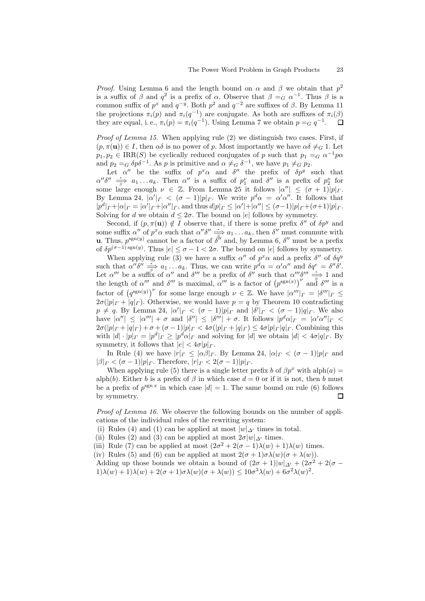*Proof.* Using [Lemma 6](#page-6-3) and the length bound on  $\alpha$  and  $\beta$  we obtain that  $p^2$ is a suffix of  $\beta$  and  $q^2$  is a prefix of  $\alpha$ . Observe that  $\beta =_G \alpha^{-1}$ . Thus  $\beta$  is a common suffix of  $p^x$  and  $q^{-y}$ . Both  $p^2$  and  $q^{-2}$  are suffixes of  $\beta$ . By [Lemma 11](#page-7-0) the projections  $\pi_i(p)$  and  $\pi_i(q^{-1})$  are conjugate. As both are suffixes of  $\pi_i(\beta)$ they are equal, i.e.,  $\pi_i(p) = \pi_i(q^{-1})$ . Using [Lemma 7](#page-6-4) we obtain  $p = G q^{-1}$ .  $\Box$ 

*Proof of [Lemma 15.](#page-9-0)* When applying rule  $(2)$  we distinguish two cases. First, if  $(p, \pi(\mathbf{u})) \in I$ , then  $\alpha\delta$  is no power of p. Most importantly we have  $\alpha\delta \neq_G 1$ . Let  $p_1, p_2 \in \text{IRR}(S)$  be cyclically reduced conjugates of p such that  $p_1 =_G \alpha^{-1} p \alpha$ and  $p_2 = G \delta p \delta^{-1}$ . As p is primitive and  $\alpha \neq G \delta^{-1}$ , we have  $p_1 \neq G p_2$ .

Let  $\alpha''$  be the suffix of  $p^x \alpha$  and  $\delta''$  the prefix of  $\delta p^y$  such that  $\alpha''\delta'' \implies a_1 \dots a_k$ . Then  $\alpha''$  is a suffix of  $p_1^{\nu}$  and  $\delta''$  is a prefix of  $p_2^{\nu}$  for some large enough  $\nu \in \mathbb{Z}$ . From [Lemma 25](#page-21-0) it follows  $|\alpha''| \leq (\sigma+1)|p|_{\Gamma}$ . By [Lemma 24,](#page-21-1)  $|\alpha'|_{\Gamma} < (\sigma - 1)|p|_{\Gamma}$ . We write  $p^d \alpha = \alpha' \alpha''$ . It follows that  $|p^d|_P + |\alpha|_P = |\alpha'|_P + |\alpha''|_P$ , and thus  $d|p|_P \leq |\alpha'| + |\alpha''| \leq (\sigma - 1)|p|_P + (\sigma + 1)|p|_P$ . Solving for d we obtain  $d \leq 2\sigma$ . The bound on |e| follows by symmetry.

Second, if  $(p, \pi(\mathbf{u})) \notin I$  observe that, if there is some prefix  $\delta''$  of  $\delta p^y$  and some suffix  $\alpha''$  of  $p^x \alpha$  such that  $\alpha'' \delta'' \stackrel{*}{\Rightarrow} a_1 \dots a_k$ , then  $\delta''$  must commute with **u**. Thus,  $p^{\text{sgn}(y)}$  cannot be a factor of  $\delta''$  and, by [Lemma 6,](#page-6-3)  $\delta''$  must be a prefix of  $\delta p^{(\sigma-1) \, \text{sgn}(y)}$ . Thus  $|e| \leq \sigma - 1 < 2\sigma$ . The bound on  $|e|$  follows by symmetry.

When applying rule [\(3\)](#page-9-2) we have a suffix  $\alpha''$  of  $p^x\alpha$  and a prefix  $\delta''$  of  $\delta q^y$ such that  $\alpha''\delta'' \stackrel{*}{\Rightarrow} a_1 \dots a_k$ . Thus, we can write  $p^d \alpha = \alpha' \alpha''$  and  $\delta q^e = \delta'' \delta'$ . Let  $\alpha'''$  be a suffix of  $\alpha''$  and  $\delta'''$  be a prefix of  $\delta''$  such that  $\alpha''' \delta''' \stackrel{*}{\Rightarrow} 1$  and the length of  $\alpha'''$  and  $\delta'''$  is maximal,  $\alpha'''$  is a factor of  $(p^{\text{sgn}(x)})^{\nu}$  and  $\delta'''$  is a factor of  $(q^{\text{sgn}(y)})^{\nu}$  for some large enough  $\nu \in \mathbb{Z}$ . We have  $|\alpha'''|_{\Gamma} = |\delta'''|_{\Gamma} \leq$  $2\sigma(|p|_F + |q|_F)$ . Otherwise, we would have  $p = q$  by [Theorem 10](#page-6-2) contradicting  $p \neq q$ . By [Lemma 24,](#page-21-1)  $|\alpha'|_{\Gamma} < (\sigma - 1)|p|_{\Gamma}$  and  $|\delta'|_{\Gamma} < (\sigma - 1)|q|_{\Gamma}$ . We also have  $|\alpha''| \leq |\alpha'''| + \sigma$  and  $|\delta''| \leq |\delta'''| + \sigma$ . It follows  $|p^d\alpha|_{\Gamma} = |\alpha'\alpha''|_{\Gamma} <$  $2\sigma(|p|_F+|q|_F)+\sigma+(\sigma-1)|p|_F<4\sigma(|p|_F+|q|_F)\leq 4\sigma|p|_F|q|_F$ . Combining this with  $|d| \cdot |p|_{\Gamma} = |p^d|_{\Gamma} \ge |p^d \alpha|_{\Gamma}$  and solving for  $|d|$  we obtain  $|d| < 4\sigma |q|_{\Gamma}$ . By symmetry, it follows that  $|e| < 4\sigma |p|_{\Gamma}$ .

In Rule [\(4\)](#page-9-3) we have  $|r|_{\Gamma} \leq |\alpha \beta|_{\Gamma}$ . By [Lemma 24,](#page-21-1)  $|\alpha|_{\Gamma} < (\sigma - 1)|p|_{\Gamma}$  and  $|\beta|_{\Gamma} < (\sigma - 1)|p|_{\Gamma}$ . Therefore,  $|r|_{\Gamma} < 2(\sigma - 1)|p|_{\Gamma}$ .

When applying rule [\(5\)](#page-9-4) there is a single letter prefix b of  $\beta p^x$  with alph(a) = alph(b). Either b is a prefix of  $\beta$  in which case  $d = 0$  or if it is not, then b must be a prefix of  $p^{\text{sgn} x}$  in which case  $|d| = 1$ . The same bound on rule [\(6\)](#page-9-5) follows by symmetry.  $\Box$ 

Proof of [Lemma 16.](#page-10-1) We observe the following bounds on the number of applications of the individual rules of the rewriting system:

(i) Rules [\(4\)](#page-9-3) and [\(1\)](#page-9-6) can be applied at most  $|w|_{\Delta'}$  times in total.

(ii) Rules [\(2\)](#page-9-1) and [\(3\)](#page-9-2) can be applied at most  $2\sigma|w|_{\Delta'}$  times.

(iii) Rule [\(7\)](#page-9-7) can be applied at most  $(2\sigma^2 + 2(\sigma - 1)\lambda(w) + 1)\lambda(w)$  times.

(iv) Rules [\(5\)](#page-9-4) and [\(6\)](#page-9-5) can be applied at most  $2(\sigma+1)\sigma\lambda(w)(\sigma+\lambda(w))$ .

Adding up those bounds we obtain a bound of  $(2\sigma + 1)|w|_{\Delta'} + (2\sigma^2 + 2(\sigma 1)\lambda(w) + 1)\lambda(w) + 2(\sigma + 1)\sigma\lambda(w)(\sigma + \lambda(w)) \leq 10\sigma^3\lambda(w) + 6\sigma^2\lambda(w)^2.$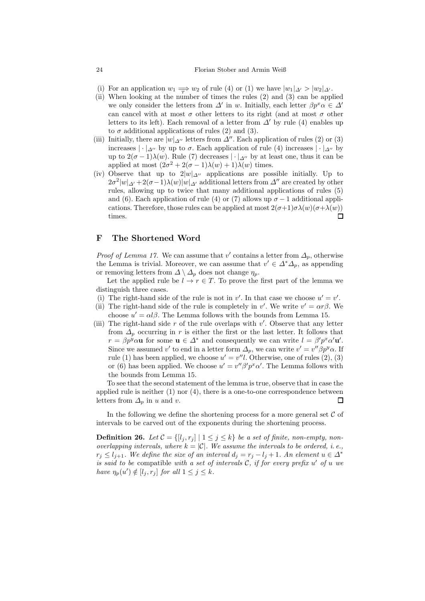#### 24 Florian Stober and Armin Weiß

- (i) For an application  $w_1 \rightleftharpoons w_2$  of rule [\(4\)](#page-9-3) or [\(1\)](#page-9-6) we have  $|w_1|_{\Delta'} > |w_2|_{\Delta'}$ .
- (ii) When looking at the number of times the rules [\(2\)](#page-9-1) and [\(3\)](#page-9-2) can be applied we only consider the letters from  $\Delta'$  in w. Initially, each letter  $\beta p^x \alpha \in \Delta'$ can cancel with at most  $\sigma$  other letters to its right (and at most  $\sigma$  other letters to its left). Each removal of a letter from  $\Delta'$  by rule [\(4\)](#page-9-3) enables up to  $\sigma$  additional applications of rules [\(2\)](#page-9-1) and [\(3\)](#page-9-2).
- (iii) Initially, there are  $|w|_{\Delta}$ <sup>'</sup> letters from  $\Delta''$ . Each application of rules [\(2\)](#page-9-1) or [\(3\)](#page-9-2) increases  $|\cdot|_{\Delta}$ <sup>'</sup> by up to  $\sigma$ . Each application of rule [\(4\)](#page-9-3) increases  $|\cdot|_{\Delta}$ <sup>'</sup> by up to  $2(\sigma-1)\lambda(w)$ . Rule [\(7\)](#page-9-7) decreases  $|\cdot|_{\Delta''}$  by at least one, thus it can be applied at most  $(2\sigma^2 + 2(\sigma - 1)\lambda(w) + 1)\lambda(w)$  times.
- (iv) Observe that up to  $2|w|_{\Delta}$  applications are possible initially. Up to  $2\sigma^2|w|\Delta t + 2(\sigma-1)\lambda(w)|w|\Delta t$  additional letters from  $\Delta$ <sup>*''*</sup> are created by other rules, allowing up to twice that many additional applications of rules [\(5\)](#page-9-4) and [\(6\)](#page-9-5). Each application of rule [\(4\)](#page-9-3) or [\(7\)](#page-9-7) allows up  $\sigma - 1$  additional applications. Therefore, those rules can be applied at most  $2(\sigma+1)\sigma\lambda(w)(\sigma+\lambda(w))$  $\Box$ times.

## F The Shortened Word

*Proof of [Lemma 17.](#page-10-2)* We can assume that v' contains a letter from  $\Delta_p$ , otherwise the Lemma is trivial. Moreover, we can assume that  $v' \in \Delta^* \Delta_p$ , as appending or removing letters from  $\Delta \setminus \Delta_p$  does not change  $\eta_p$ .

Let the applied rule be  $l \to r \in T$ . To prove the first part of the lemma we distinguish three cases.

- (i) The right-hand side of the rule is not in  $v'$ . In that case we choose  $u' = v'$ .
- (ii) The right-hand side of the rule is completely in v'. We write  $v' = \alpha r \beta$ . We choose  $u' = \alpha l \beta$ . The Lemma follows with the bounds from [Lemma 15.](#page-9-0)
- (iii) The right-hand side  $r$  of the rule overlaps with  $v'$ . Observe that any letter from  $\Delta_p$  occurring in r is either the first or the last letter. It follows that  $r = \beta p^y \alpha \mathbf{u}$  for some  $\mathbf{u} \in \Delta^*$  and consequently we can write  $l = \beta' p^x \alpha' \mathbf{u}'$ . Since we assumed v' to end in a letter form  $\Delta_p$ , we can write  $v' = v'' \beta p^y \alpha$ . If rule [\(1\)](#page-9-6) has been applied, we choose  $u' = v''l$ . Otherwise, one of rules [\(2\)](#page-9-1), [\(3\)](#page-9-2) or [\(6\)](#page-9-5) has been applied. We choose  $u' = v'' \beta' p^x \alpha'$ . The Lemma follows with the bounds from [Lemma 15.](#page-9-0)

To see that the second statement of the lemma is true, observe that in case the applied rule is neither  $(1)$  nor  $(4)$ , there is a one-to-one correspondence between letters from  $\Delta_p$  in u and v.  $\square$ 

In the following we define the shortening process for a more general set  $\mathcal C$  of intervals to be carved out of the exponents during the shortening process.

<span id="page-23-0"></span>**Definition 26.** Let  $C = \{[l_j, r_j] | 1 \leq j \leq k\}$  be a set of finite, non-empty, nonoverlapping intervals, where  $k = |\mathcal{C}|$ . We assume the intervals to be ordered, i.e.,  $r_j \leq l_{j+1}$ . We define the size of an interval  $d_j = r_j - l_j + 1$ . An element  $u \in \Delta^*$ is said to be compatible with a set of intervals  $C$ , if for every prefix  $u'$  of u we have  $\eta_p(u') \notin [l_j, r_j]$  for all  $1 \leq j \leq k$ .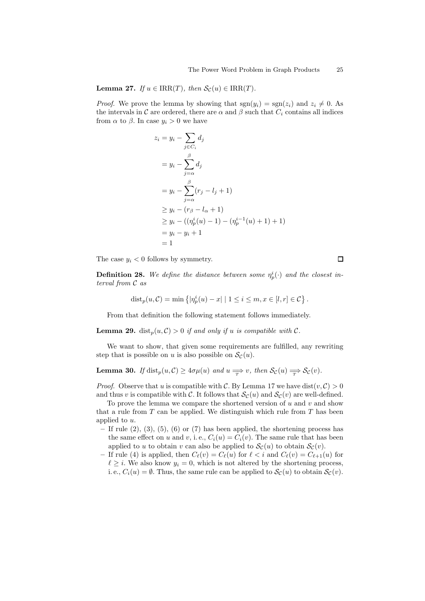$(1)$ 

**Lemma 27.** If  $u \in \text{IRR}(T)$ , then  $\mathcal{S}_{\mathcal{C}}(u) \in \text{IRR}(T)$ .

*Proof.* We prove the lemma by showing that  $sgn(y_i) = sgn(z_i)$  and  $z_i \neq 0$ . As the intervals in C are ordered, there are  $\alpha$  and  $\beta$  such that  $C_i$  contains all indices from  $\alpha$  to  $\beta$ . In case  $y_i > 0$  we have

$$
z_i = y_i - \sum_{j \in C_i} d_j
$$
  
=  $y_i - \sum_{j=\alpha}^{\beta} d_j$   
=  $y_i - \sum_{j=\alpha}^{\beta} (r_j - l_j + 1)$   
 $\ge y_i - (r_\beta - l_\alpha + 1)$   
 $\ge y_i - ((\eta_p^i(u) - 1) - (\eta_p^{i-1}(u) + 1) +$   
=  $y_i - y_i + 1$   
= 1

The case  $y_i < 0$  follows by symmetry.

**Definition 28.** We define the distance between some  $\eta_p^i(\cdot)$  and the closest interval from C as

$$
dist_p(u, C) = \min \left\{ |\eta_p^i(u) - x| \mid 1 \leq i \leq m, x \in [l, r] \in C \right\}.
$$

From that definition the following statement follows immediately.

**Lemma 29.** dist<sub>p</sub> $(u, C) > 0$  if and only if u is compatible with C.

<span id="page-24-0"></span>We want to show, that given some requirements are fulfilled, any rewriting step that is possible on u is also possible on  $\mathcal{S}_{\mathcal{C}}(u)$ .

**Lemma 30.** If  $dist_p(u, C) \geq 4\sigma\mu(u)$  and  $u \Longrightarrow v$ , then  $\mathcal{S}_{\mathcal{C}}(u) \Longrightarrow \mathcal{S}_{\mathcal{C}}(v)$ .

*Proof.* Observe that u is compatible with C. By [Lemma 17](#page-10-2) we have  $dist(v, C) > 0$ and thus v is compatible with C. It follows that  $\mathcal{S}_{\mathcal{C}}(u)$  and  $\mathcal{S}_{\mathcal{C}}(v)$  are well-defined.

To prove the lemma we compare the shortened version of  $u$  and  $v$  and show that a rule from  $T$  can be applied. We distinguish which rule from  $T$  has been applied to u.

- $-$  If rule  $(2)$ ,  $(3)$ ,  $(5)$ ,  $(6)$  or  $(7)$  has been applied, the shortening process has the same effect on u and v, i.e.,  $C_i(u) = C_i(v)$ . The same rule that has been applied to u to obtain v can also be applied to  $\mathcal{S}_{\mathcal{C}}(u)$  to obtain  $\mathcal{S}_{\mathcal{C}}(v)$ .
- If rule [\(4\)](#page-9-3) is applied, then  $C_{\ell}(v) = C_{\ell}(u)$  for  $\ell < i$  and  $C_{\ell}(v) = C_{\ell+1}(u)$  for  $\ell \geq i$ . We also know  $y_i = 0$ , which is not altered by the shortening process, i. e.,  $C_i(u) = \emptyset$ . Thus, the same rule can be applied to  $\mathcal{S}_{\mathcal{C}}(u)$  to obtain  $\mathcal{S}_{\mathcal{C}}(v)$ .

 $\Box$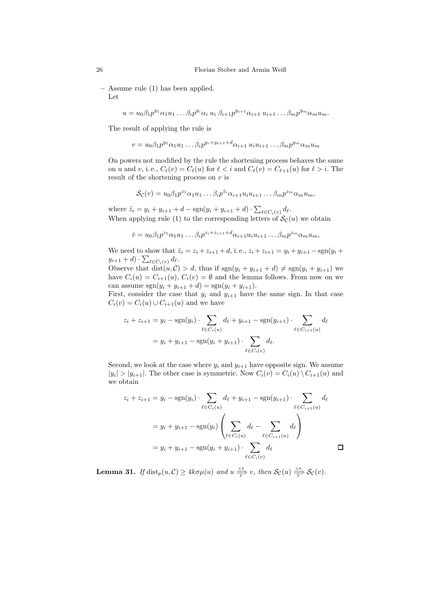– Assume rule [\(1\)](#page-9-6) has been applied. Let

$$
u = u_0 \beta_1 p^{y_1} \alpha_1 u_1 \dots \beta_i p^{y_i} \alpha_i u_i \beta_{i+1} p^{y_{i+1}} \alpha_{i+1} u_{i+1} \dots \beta_m p^{y_m} \alpha_m u_m.
$$

The result of applying the rule is

$$
v = u_0 \beta_1 p^{y_1} \alpha_1 u_1 \dots \beta_i p^{y_i + y_{i+1} + d} \alpha_{i+1} u_i u_{i+1} \dots \beta_m p^{y_m} \alpha_m u_m
$$

On powers not modified by the rule the shortening process behaves the same on u and v, i.e.,  $C_{\ell}(v) = C_{\ell}(u)$  for  $\ell < i$  and  $C_{\ell}(v) = C_{\ell+1}(u)$  for  $\ell > i$ . The result of the shortening process on  $v$  is

$$
\mathcal{S}_{\mathcal{C}}(v) = u_0 \beta_1 p^{z_1} \alpha_1 u_1 \dots \beta_i p^{\tilde{z}_i} \alpha_{i+1} u_i u_{i+1} \dots \beta_m p^{z_m} \alpha_m u_m,
$$

where  $\tilde{z}_i = y_i + y_{i+1} + d - \text{sgn}(y_i + y_{i+1} + d) \cdot \sum_{\ell \in C_i(v)} d_{\ell}$ . When applying rule [\(1\)](#page-9-6) to the corresponding letters of  $\mathcal{S}_{\mathcal{C}}(u)$  we obtain

$$
\hat{v} = u_0 \beta_1 p^{z_1} \alpha_1 u_1 \dots \beta_i p^{z_i + z_{i+1} + d} \alpha_{i+1} u_i u_{i+1} \dots \beta_m p^{z_m} \alpha_m u_m,
$$

We need to show that  $\tilde{z}_i = z_i + z_{i+1} + d$ , i.e.,  $z_i + z_{i+1} = y_i + y_{i+1} - \text{sgn}(y_i +$  $y_{i+1} + d) \cdot \sum_{\ell \in C_i(v)} d_{\ell}.$ 

Observe that  $dist(u, \mathcal{C}) > d$ , thus if  $sgn(y_i + y_{i+1} + d) \neq sgn(y_i + y_{i+1})$  we have  $C_i(u) = C_{i+1}(u)$ ,  $C_i(v) = \emptyset$  and the lemma follows. From now on we can assume  $sgn(y_i + y_{i+1} + d) = sgn(y_i + y_{i+1}).$ 

First, consider the case that  $y_i$  and  $y_{i+1}$  have the same sign. In that case  $C_i(v) = C_i(u) \cup C_{i+1}(u)$  and we have

$$
z_i + z_{i+1} = y_i - \text{sgn}(y_i) \cdot \sum_{\ell \in C_i(u)} d_{\ell} + y_{i+1} - \text{sgn}(y_{i+1}) \cdot \sum_{\ell \in C_{i+1}(u)} d_{\ell}
$$

$$
= y_i + y_{i+1} - \text{sgn}(y_i + y_{i+1}) \cdot \sum_{\ell \in C_i(v)} d_{\ell}.
$$

Second, we look at the case where  $y_i$  and  $y_{i+1}$  have opposite sign. We assume  $|y_i| > |y_{i+1}|$ . The other case is symmetric. Now  $C_i(v) = C_i(u) \setminus C_{i+1}(u)$  and we obtain

$$
z_i + z_{i+1} = y_i - \text{sgn}(y_i) \cdot \sum_{\ell \in C_i(u)} d_{\ell} + y_{i+1} - \text{sgn}(y_{i+1}) \cdot \sum_{\ell \in C_{i+1}(u)} d_{\ell}
$$

$$
= y_i + y_{i+1} - \text{sgn}(y_i) \left( \sum_{\ell \in C_i(u)} d_{\ell} - \sum_{\ell \in C_{i+1}(u)} d_{\ell} \right)
$$

$$
= y_i + y_{i+1} - \text{sgn}(y_i + y_{i+1}) \cdot \sum_{\ell \in C_i(v)} d_{\ell} \qquad \Box
$$

<span id="page-25-0"></span>**Lemma 31.** If  $dist_p(u, C) \geq 4k\sigma\mu(u)$  and  $u \leq \frac{\leq k}{T} v$ , then  $\mathcal{S}_{\mathcal{C}}(u) \leq \frac{\leq k}{T} \mathcal{S}_{\mathcal{C}}(v)$ .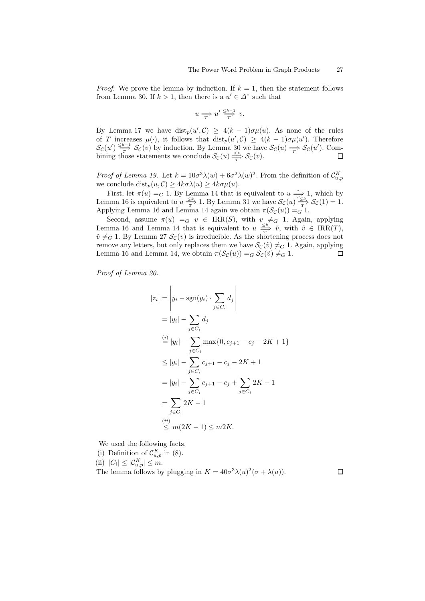*Proof.* We prove the lemma by induction. If  $k = 1$ , then the statement follows from [Lemma 30.](#page-24-0) If  $k > 1$ , then there is a  $u' \in \Delta^*$  such that

$$
u \Longrightarrow u' \stackrel{\leq k-1}{\longrightarrow} v.
$$

By [Lemma 17](#page-10-2) we have  $dist_p(u', \mathcal{C}) \geq 4(k-1)\sigma\mu(u)$ . As none of the rules of T increases  $\mu(\cdot)$ , it follows that  $dist_p(u', \mathcal{C}) \geq 4(k-1)\sigma\mu(u')$ . Therefore  $\mathcal{S}_{\mathcal{C}}(u') \stackrel{\leq k-1}{\longrightarrow} \mathcal{S}_{\mathcal{C}}(v)$  by induction. By [Lemma 30](#page-24-0) we have  $\mathcal{S}_{\mathcal{C}}(u) \rightleftharpoons \mathcal{S}_{\mathcal{C}}(u')$ . Combining those statements we conclude  $\mathcal{S}_{\mathcal{C}}(u) \leq^{\leq k}_{T} \mathcal{S}_{\mathcal{C}}(v)$ .  $\Box$ 

Proof of [Lemma 19.](#page-10-4) Let  $k = 10\sigma^3\lambda(w) + 6\sigma^2\lambda(w)^2$ . From the definition of  $\mathcal{C}_{u,p}^K$ we conclude  $dist_p(u, C) \geq 4k\sigma\lambda(u) \geq 4k\sigma\mu(u)$ .

First, let  $\pi(u) = G$  1. By [Lemma 14](#page-9-8) that is equivalent to  $u \frac{\pi}{\sigma}$  1, which by [Lemma 16](#page-10-1) is equivalent to  $u \leq k \to \infty$ . By [Lemma 31](#page-25-0) we have  $\mathcal{S}_{\mathcal{C}}(u) \leq k \to \mathcal{S}_{\mathcal{C}}(1) = 1$ . Applying [Lemma 16](#page-10-1) and [Lemma 14](#page-9-8) again we obtain  $\pi(\mathcal{S}_{\mathcal{C}}(u)) =_G 1$ .

Second, assume  $\pi(u) =_G v \in \text{IRR}(S)$ , with  $v \neq_G 1$ . Again, applying [Lemma 16](#page-10-1) and [Lemma 14](#page-9-8) that is equivalent to  $u \frac{\leq k}{T}$   $\tilde{v}$ , with  $\tilde{v} \in \text{IRR}(T)$ ,  $\tilde{v} \neq_G 1$ . By [Lemma 27](#page-23-0)  $\mathcal{S}_{\mathcal{C}}(v)$  is irreducible. As the shortening process does not remove any letters, but only replaces them we have  $\mathcal{S}_{\mathcal{C}}(\tilde{v}) \neq_G 1$ . Again, applying [Lemma 16](#page-10-1) and [Lemma 14,](#page-9-8) we obtain  $\pi(\mathcal{S}_{\mathcal{C}}(u)) =_G \mathcal{S}_{\mathcal{C}}(\tilde{v}) \neq_G 1$ .  $\Box$ 

Proof of [Lemma 20.](#page-10-3)

 $\overline{\phantom{a}}$ 

$$
z_{i}| = \left| y_{i} - \text{sgn}(y_{i}) \cdot \sum_{j \in C_{i}} d_{j} \right|
$$
  
\n
$$
= |y_{i}| - \sum_{j \in C_{i}} d_{j}
$$
  
\n
$$
\stackrel{(i)}{=} |y_{i}| - \sum_{j \in C_{i}} \max\{0, c_{j+1} - c_{j} - 2K + 1\}
$$
  
\n
$$
\leq |y_{i}| - \sum_{j \in C_{i}} c_{j+1} - c_{j} - 2K + 1
$$
  
\n
$$
= |y_{i}| - \sum_{j \in C_{i}} c_{j+1} - c_{j} + \sum_{j \in C_{i}} 2K - 1
$$
  
\n
$$
= \sum_{j \in C_{i}} 2K - 1
$$
  
\n
$$
\stackrel{(ii)}{\leq} m(2K - 1) \leq m2K.
$$

We used the following facts.

(i) Definition of  $\mathcal{C}_{u,p}^K$  in [\(8\)](#page-10-5). (ii)  $|C_i| \leq |\mathcal{C}_{u,p}^K| \leq m$ . The lemma follows by plugging in  $K = 40\sigma^3\lambda(u)^2(\sigma + \lambda(u)).$ 

 $\Box$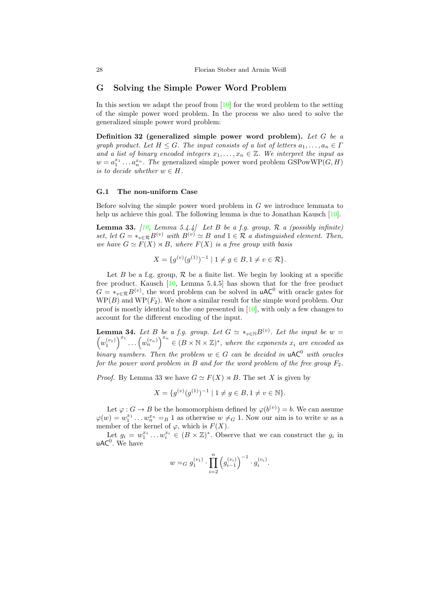## G Solving the Simple Power Word Problem

In this section we adapt the proof from  $[10]$  for the word problem to the setting of the simple power word problem. In the process we also need to solve the generalized simple power word problem:

Definition 32 (generalized simple power word problem). Let  $G$  be a graph product. Let  $H \leq G$ . The input consists of a list of letters  $a_1, \ldots, a_n \in \Gamma$ and a list of binary encoded integers  $x_1, \ldots, x_n \in \mathbb{Z}$ . We interpret the input as  $w = a_1^{x_1} \dots a_n^{x_n}$ . The generalized simple power word problem GSPowWP( $G, H$ ) is to decide whether  $w \in H$ .

### G.1 The non-uniform Case

Before solving the simple power word problem in  $G$  we introduce lemmata to help us achieve this goal. The following lemma is due to Jonathan Kausch [\[10\]](#page-12-4).

**Lemma 33.** [\[10](#page-12-4), Lemma 5.4.4] Let B be a f.g. group,  $\mathcal{R}$  a (possibly infinite) set, let  $G = *_{v \in \mathcal{R}} B^{(v)}$  with  $B^{(v)} \simeq B$  and  $1 \in \mathcal{R}$  a distinguished element. Then, we have  $G \simeq F(X) \rtimes B$ , where  $F(X)$  is a free group with basis

<span id="page-27-0"></span>
$$
X = \{ g^{(v)}(g^{(1)})^{-1} \mid 1 \neq g \in B, 1 \neq v \in \mathcal{R} \}.
$$

Let B be a f.g. group,  $\mathcal R$  be a finite list. We begin by looking at a specific free product. Kausch [\[10,](#page-12-4) Lemma 5.4.5] has shown that for the free product  $G = *_{v \in \mathcal{R}} B^{(v)}$ , the word problem can be solved in **uAC**<sup>0</sup> with oracle gates for  $WP(B)$  and  $WP(F_2)$ . We show a similar result for the simple word problem. Our proof is mostly identical to the one presented in [\[10](#page-12-4)], with only a few changes to account for the different encoding of the input.

<span id="page-27-1"></span>**Lemma 34.** Let B be a f.g. group. Let  $G \simeq *_{v \in N} B^{(v)}$ . Let the input be  $w =$  $(w_1^{(v_1)})^{x_1} \ldots (w_n^{(v_n)})^{x_n} \in (B \times N \times \mathbb{Z})^*$ , where the exponents  $x_i$  are encoded as binary numbers. Then the problem  $w \in G$  can be decided in  $\mathsf{uAC}^0$  with oracles for the power word problem in B and for the word problem of the free group  $F_2$ .

*Proof.* By [Lemma 33](#page-27-0) we have  $G \simeq F(X) \rtimes B$ . The set X is given by

$$
X = \{ g^{(v)}(g^{(1)})^{-1} \mid 1 \neq g \in B, 1 \neq v \in \mathbb{N} \}.
$$

Let  $\varphi: G \to B$  be the homomorphism defined by  $\varphi(b^{(v)}) = b$ . We can assume  $\varphi(w) = w_1^{x_1} \dots w_n^{x_n} =_B 1$  as otherwise  $w \neq_G 1$ . Now our aim is to write w as a member of the kernel of  $\varphi$ , which is  $F(X)$ .

Let  $g_i = w_1^{x_1} \dots w_i^{x_i} \in (B \times \mathbb{Z})^*$ . Observe that we can construct the  $g_i$  in  $uAC<sup>0</sup>$ . We have

$$
w =_G g_1^{(v_1)} \cdot \prod_{i=2}^n \left( g_{i-1}^{(v_i)} \right)^{-1} \cdot g_i^{(v_i)}.
$$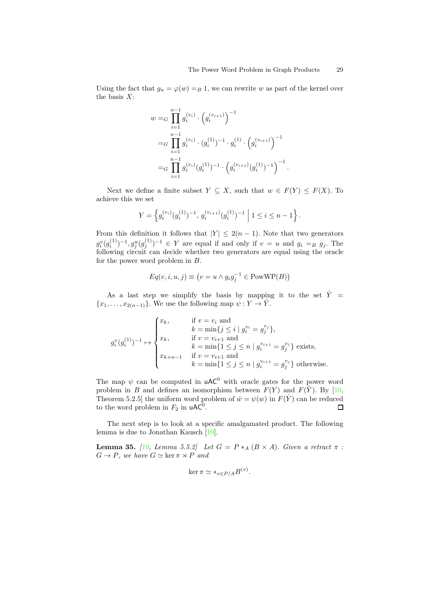Using the fact that  $g_n = \varphi(w) = B 1$ , we can rewrite w as part of the kernel over the basis  $X$ :

$$
w =_G \prod_{i=1}^{n-1} g_i^{(v_i)} \cdot (g_i^{(v_{i+1})})^{-1}
$$
  
=
$$
_G \prod_{i=1}^{n-1} g_i^{(v_i)} \cdot (g_i^{(1)})^{-1} \cdot g_i^{(1)} \cdot (g_i^{(v_{i+1})})^{-1}
$$
  
=
$$
_G \prod_{i=1}^{n-1} g_i^{(v_i)} (g_i^{(1)})^{-1} \cdot (g_i^{(v_{i+1})} (g_i^{(1)})^{-1})^{-1}.
$$

Next we define a finite subset  $Y \subseteq X$ , such that  $w \in F(Y) \leq F(X)$ . To achieve this we set

$$
Y = \left\{ g_i^{(v_i)}(g_i^{(1)})^{-1}, g_i^{(v_{i+1})}(g_i^{(1)})^{-1} \mid 1 \le i \le n-1 \right\}.
$$

From this definition it follows that  $|Y| \leq 2(n-1)$ . Note that two generators  $g_{i}^{v}(g_{i}^{(1)}$  $\binom{1}{i}$  –1,  $g_j^u(g_j^{(1)})$  $j^{(1)}$ )<sup>-1</sup>  $\in$  Y are equal if and only if  $v = u$  and  $g_i = g_j$ . The following circuit can decide whether two generators are equal using the oracle for the power word problem in B.

$$
Eq(v, i, u, j) \equiv (v = u \land g_i g_j^{-1} \in PowWP(B))
$$

As a last step we simplify the basis by mapping it to the set  $\hat{Y}$  =  ${x_1, \ldots, x_{2(n-1)}}$ . We use the following map  $\psi: Y \to \hat{Y}$ .

$$
g_i^v(g_i^{(1)})^{-1} \mapsto \begin{cases} x_k, & \text{if } v = v_i \text{ and} \\ k = \min\{j \le i \mid g_i^{v_i} = g_j^{v_j}\}, \\ x_k, & \text{if } v = v_{i+1} \text{ and} \\ k = \min\{1 \le j \le n \mid g_i^{v_{i+1}} = g_j^{v_j}\} \text{ exists,} \\ x_{k+n-1} & \text{if } v = v_{i+1} \text{ and} \\ k = \min\{1 \le j \le n \mid g_i^{v_{i+1}} = g_j^{v_j}\} \text{ otherwise.} \end{cases}
$$

The map  $\psi$  can be computed in **uAC<sup>0</sup>** with oracle gates for the power word problem in B and defines an isomorphism between  $F(Y)$  and  $F(\hat{Y})$ . By [\[10,](#page-12-4) Theorem 5.2.5] the uniform word problem of  $\hat{w} = \psi(w)$  in  $F(\hat{Y})$  can be reduced to the word problem in  $F_2$  in  $\mathsf{uAC}^0$ .  $\Box$ 

The next step is to look at a specific amalgamated product. The following lemma is due to Jonathan Kausch [\[10\]](#page-12-4).

<span id="page-28-0"></span>**Lemma 35.** [\[10](#page-12-4), Lemma 5.5.2] Let  $G = P *_{A} (B \times A)$ . Given a retract  $\pi$ :  $G \to P$ , we have  $G \simeq \ker \pi \rtimes P$  and

<span id="page-28-1"></span>
$$
\ker \pi \simeq *_{v \in P/A} B^{(v)}.
$$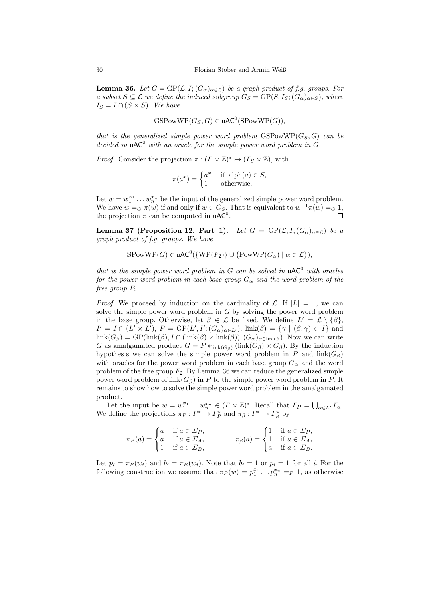**Lemma 36.** Let  $G = \text{GP}(\mathcal{L}, I; (G_\alpha)_{\alpha \in \mathcal{L}})$  be a graph product of f.g. groups. For a subset  $S \subseteq \mathcal{L}$  we define the induced subgroup  $G_S = GP(S, I_S; (G_\alpha)_{\alpha \in S})$ , where  $I_S = I \cap (S \times S)$ . We have

$$
GSPowWP(G_S, G) \in uAC^0(SPowWP(G)),
$$

that is the generalized simple power word problem  $GSPowWP(G_S, G)$  can be decided in  $\mathsf{uAC}^0$  with an oracle for the simple power word problem in G.

*Proof.* Consider the projection  $\pi : (T \times \mathbb{Z})^* \mapsto (T_S \times \mathbb{Z})$ , with

$$
\pi(a^x) = \begin{cases} a^x & \text{if } \text{alpha}(a) \in S, \\ 1 & \text{otherwise.} \end{cases}
$$

Let  $w = w_1^{x_1} \dots w_n^{x_n}$  be the input of the generalized simple power word problem. We have  $w = G \pi(w)$  if and only if  $w \in G_S$ . That is equivalent to  $w^{-1}\pi(w) = G_1$ , the projection  $\pi$  can be computed in uAC<sup>0</sup>.  $\Box$ 

Lemma 37 [\(Proposition 12,](#page-8-1) Part 1). Let  $G = GP(\mathcal{L}, I; (G_{\alpha})_{\alpha \in \mathcal{L}})$  be a graph product of f.g. groups. We have

$$
SPowWP(G) \in uAC^0(\{WP(F_2)\} \cup \{PowWP(G_\alpha) \mid \alpha \in \mathcal{L}\}),
$$

that is the simple power word problem in G can be solved in  $\mathsf{uAC}^0$  with oracles for the power word problem in each base group  $G_{\alpha}$  and the word problem of the free group  $F_2$ .

*Proof.* We proceed by induction on the cardinality of  $\mathcal{L}$ . If  $|L| = 1$ , we can solve the simple power word problem in G by solving the power word problem in the base group. Otherwise, let  $\beta \in \mathcal{L}$  be fixed. We define  $L' = \mathcal{L} \setminus \{\beta\},\$  $I' = I \cap (L' \times L'), P = GP(L', I'; (G_{\alpha})_{\alpha \in L'}), \text{ link}(\beta) = {\gamma | (\beta, \gamma) \in I} \text{ and}$  $\text{link}(G_{\beta}) = \text{GP}(\text{link}(\beta), I \cap (\text{link}(\beta) \times \text{link}(\beta)); (G_{\alpha})_{\alpha \in \text{link}(\beta)}).$  Now we can write G as amalgamated product  $G = P *_{\text{link}(G_\beta)} (\text{link}(G_\beta) \times G_\beta)$ . By the induction hypothesis we can solve the simple power word problem in P and  $link(G_\beta)$ with oracles for the power word problem in each base group  $G_{\alpha}$  and the word problem of the free group  $F_2$ . By [Lemma 36](#page-28-0) we can reduce the generalized simple power word problem of  $\text{link}(G_\beta)$  in P to the simple power word problem in P. It remains to show how to solve the simple power word problem in the amalgamated product.

Let the input be  $w = w_1^{x_1} \dots w_n^{x_n} \in (\Gamma \times \mathbb{Z})^*$ . Recall that  $\Gamma_P = \bigcup_{\alpha \in L'} \Gamma_\alpha$ . We define the projections  $\pi_P : \Gamma^* \to \Gamma_P^*$  and  $\pi_\beta : \Gamma^* \to \Gamma_\beta^*$  by

$$
\pi_P(a) = \begin{cases} a & \text{if } a \in \Sigma_P, \\ a & \text{if } a \in \Sigma_A, \\ 1 & \text{if } a \in \Sigma_B, \end{cases} \qquad \pi_\beta(a) = \begin{cases} 1 & \text{if } a \in \Sigma_P, \\ 1 & \text{if } a \in \Sigma_A, \\ a & \text{if } a \in \Sigma_B. \end{cases}
$$

Let  $p_i = \pi_P(w_i)$  and  $b_i = \pi_B(w_i)$ . Note that  $b_i = 1$  or  $p_i = 1$  for all i. For the following construction we assume that  $\pi_P(w) = p_1^{x_1} \dots p_n^{x_n} =_P 1$ , as otherwise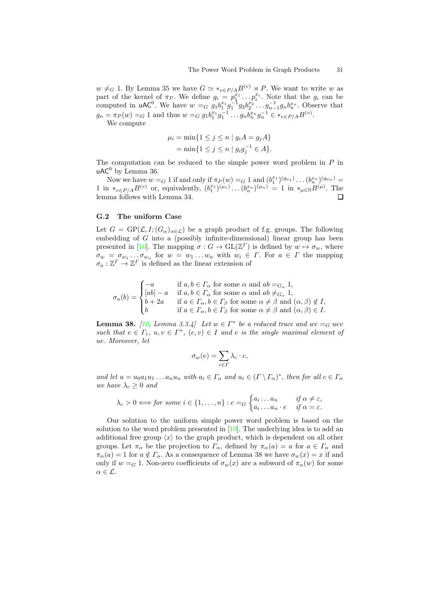$w \neq_G 1$ . By [Lemma 35](#page-28-1) we have  $G \simeq *_{v \in P/A} B^{(v)} \rtimes P$ . We want to write w as part of the kernel of  $\pi_P$ . We define  $g_i = p_1^{x_1} \dots p_i^{x_i}$ . Note that the  $g_i$  can be computed in uAC<sup>0</sup>. We have  $w = G g_1 b_1^{x_1} g_1^{-1} g_2 b_2^{x_2} \dots g_{n-1}^{-1} g_n b_n^{x_n}$ . Observe that  $g_n = \pi_P(w) =_G 1$  and thus  $w =_G g_1 b_1^{x_1} g_1^{-1} \dots g_n b_n^{x_n} g_n^{-1} \in *_{v \in P/A} B^{(v)}$ .

We compute

$$
\mu_i = \min\{1 \le j \le n \mid g_i A = g_j A\}
$$
  
= 
$$
\min\{1 \le j \le n \mid g_i g_j^{-1} \in A\}.
$$

The computation can be reduced to the simple power word problem in  $P$  in  $uAC^0$  by [Lemma 36.](#page-28-0)

Now we have  $w = G 1$  if and only if  $\pi_P(w) = G 1$  and  $(b_1^{x_1})^{(g_{\mu_1})} \dots (b_n^{x_n})^{(g_{\mu_n})} =$ 1 1 in ∗v∈P/AB(v) or, equivalently, (b x<sup>1</sup> 1 ) (µ1) . . .(b x<sup>n</sup> n ) (µn) = 1 in ∗µ∈NB(µ) . The lemma follows with [Lemma 34.](#page-27-1)  $\Box$ 

### G.2 The uniform Case

Let  $G = GP(\mathcal{L}, I; (G_{\alpha})_{\alpha \in \mathcal{L}})$  be a graph product of f.g. groups. The following embedding of  $G$  into a (possibly infinite-dimensional) linear group has been presented in [\[10](#page-12-4)]. The mapping  $\sigma : G \to GL(\mathbb{Z}^T)$  is defined by  $w \mapsto \sigma_w$ , where  $\sigma_w = \sigma_{w_1} \dots \sigma_{w_n}$  for  $w = w_1 \dots w_n$  with  $w_i \in \Gamma$ . For  $a \in \Gamma$  the mapping  $\sigma_a: \mathbb{Z}^{\Gamma} \to \mathbb{Z}^{\Gamma}$  is defined as the linear extension of

$$
\sigma_a(b) = \begin{cases}\n-a & \text{if } a, b \in \Gamma_\alpha \text{ for some } \alpha \text{ and } ab =_{G_\alpha} 1, \\
[ab] - a & \text{if } a, b \in \Gamma_\alpha \text{ for some } \alpha \text{ and } ab \neq_{G_\alpha} 1, \\
b + 2a & \text{if } a \in \Gamma_\alpha, b \in \Gamma_\beta \text{ for some } \alpha \neq \beta \text{ and } (\alpha, \beta) \notin I, \\
b & \text{if } a \in \Gamma_\alpha, b \in \Gamma_\beta \text{ for some } \alpha \neq \beta \text{ and } (\alpha, \beta) \in I.\n\end{cases}
$$

<span id="page-30-0"></span>**Lemma 38.** [\[10](#page-12-4), Lemma 3.3.4] Let  $w \in \Gamma^*$  be a reduced trace and  $we =_G uev$ such that  $e \in \Gamma_{\varepsilon}$ ,  $u, v \in \Gamma^*$ ,  $(e, v) \in I$  and e is the single maximal element of ue. Moreover, let

$$
\sigma_w(e) = \sum_{c \in \Gamma} \lambda_c \cdot c,
$$

and let  $u = u_0 a_1 u_1 \dots a_n u_n$  with  $a_i \in \Gamma_\alpha$  and  $u_i \in (\Gamma \setminus \Gamma_\alpha)^*$ , then for all  $c \in \Gamma_\alpha$ we have  $\lambda_c \geq 0$  and

$$
\lambda_c > 0 \Longleftrightarrow for \; some \; i \in \{1, \ldots, n\} : c =_G \begin{cases} a_i \ldots a_n & \text{if } \alpha \neq \varepsilon, \\ a_i \ldots a_n \cdot e & \text{if } \alpha = \varepsilon. \end{cases}
$$

Our solution to the uniform simple power word problem is based on the solution to the word problem presented in [\[10\]](#page-12-4). The underlying idea is to add an additional free group  $\langle x \rangle$  to the graph product, which is dependent on all other groups. Let  $\pi_{\alpha}$  be the projection to  $\Gamma_{\alpha}$ , defined by  $\pi_{\alpha}(a) = a$  for  $a \in \Gamma_{\alpha}$  and  $\pi_{\alpha}(a) = 1$  for  $a \notin \Gamma_{\alpha}$ . As a consequence of [Lemma 38](#page-30-0) we have  $\sigma_w(x) = x$  if and only if  $w = G$  1. Non-zero coefficients of  $\sigma_w(x)$  are a subword of  $\pi_\alpha(w)$  for some  $\alpha \in \mathcal{L}$ .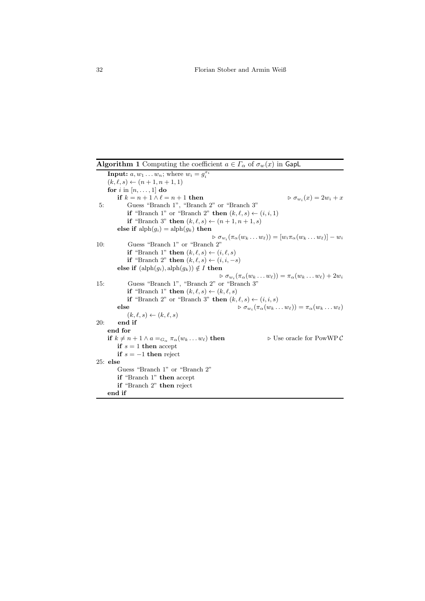Algorithm 1 Computing the coefficient  $a \in \Gamma_\alpha$  of  $\sigma_w(x)$  in GapL

```
Input: a, w_1 \ldots w_n; where w_i = g_i^{x_i}(k, \ell, s) \leftarrow (n+1, n+1, 1)for i in [n, \ldots, 1] do
         if k = n + 1 \wedge \ell = n + 1 then
                                                                                    \triangleright \sigma_{w_i}(x) = 2w_i + x5: Guess "Branch 1", "Branch 2" or "Branch 3"
             if "Branch 1" or "Branch 2" then (k, \ell, s) \leftarrow (i, i, 1)if "Branch 3" then (k, \ell, s) \leftarrow (n+1, n+1, s)else if \mathrm{alph}(g_i) = \mathrm{alph}(g_k) then
                                                   \rhd \sigma_{w_i}(\pi_{\alpha}(w_k \ldots w_{\ell})) = [w_i \pi_{\alpha}(w_k \ldots w_{\ell})] - w_i10: Guess "Branch 1" or "Branch 2"
             if "Branch 1" then (k, \ell, s) \leftarrow (i, \ell, s)if "Branch 2" then (k, \ell, s) \leftarrow (i, i, -s)else if (\text{alph}(g_i), \text{alph}(g_k)) \notin I then
                                                      \rhd \sigma_{w_i}(\pi_{\alpha}(w_k \ldots w_{\ell})) = \pi_{\alpha}(w_k \ldots w_{\ell}) + 2w_i15: Guess "Branch 1", "Branch 2" or "Branch 3"
             if "Branch 1" then (k,\ell,s) \leftarrow (k,\ell,s)if "Branch 2" or "Branch 3" then (k, \ell, s) \leftarrow (i, i, s)else \rhd \sigma_{w_i}(\pi_\alpha(w_k \dots w_\ell)) = \pi_\alpha(w_k \dots w_\ell)(k, \ell, s) \leftarrow (k, \ell, s)20: end if
    end for
    if k \neq n + 1 \wedge a =_{G_\alpha} \pi_\alpha(w_k \dots w_\ell) then \triangleright Use oracle for PowWP C
        if s = 1 then accept
        if s = -1 then reject
25: else
         Guess "Branch 1" or "Branch 2"
         if "Branch 1" then accept
        if "Branch 2" then reject
    end if
```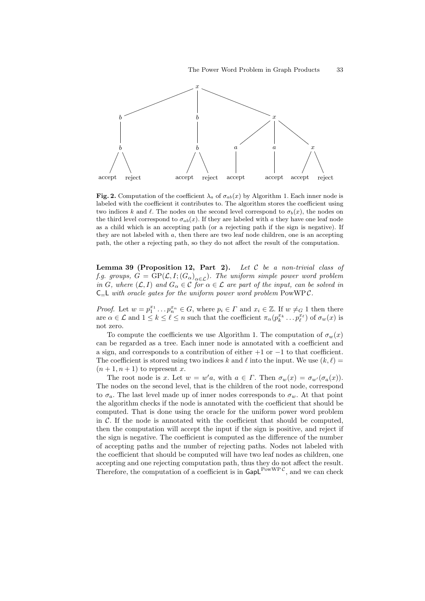

<span id="page-32-0"></span>Fig. 2. Computation of the coefficient  $\lambda_a$  of  $\sigma_{ab}(x)$  by [Algorithm 1.](#page-31-0) Each inner node is labeled with the coefficient it contributes to. The algorithm stores the coefficient using two indices k and l. The nodes on the second level correspond to  $\sigma_b(x)$ , the nodes on the third level correspond to  $\sigma_{ab}(x)$ . If they are labeled with a they have one leaf node as a child which is an accepting path (or a rejecting path if the sign is negative). If they are not labeled with  $a$ , then there are two leaf node children, one is an accepting path, the other a rejecting path, so they do not affect the result of the computation.

Lemma 39 [\(Proposition 12,](#page-8-1) Part 2). Let  $C$  be a non-trivial class of f.g. groups,  $G = \text{GP}(\mathcal{L}, I; (G_\alpha)_{\alpha \in \mathcal{L}})$ . The uniform simple power word problem in G, where  $(\mathcal{L}, I)$  and  $G_{\alpha} \in \mathcal{C}$  for  $\alpha \in \mathcal{L}$  are part of the input, can be solved in  $C_{r}L$  with oracle gates for the uniform power word problem PowWPC.

*Proof.* Let  $w = p_1^{x_1} \dots p_n^{x_n} \in G$ , where  $p_i \in \Gamma$  and  $x_i \in \mathbb{Z}$ . If  $w \neq_G 1$  then there are  $\alpha \in \mathcal{L}$  and  $1 \leq k \leq \ell \leq n$  such that the coefficient  $\pi_{\alpha}(p_k^{x_k} \dots p_{\ell}^{x_{\ell}})$  of  $\sigma_w(x)$  is not zero.

To compute the coefficients we use [Algorithm 1.](#page-31-0) The computation of  $\sigma_w(x)$ can be regarded as a tree. Each inner node is annotated with a coefficient and a sign, and corresponds to a contribution of either  $+1$  or  $-1$  to that coefficient. The coefficient is stored using two indices k and  $\ell$  into the input. We use  $(k, \ell)$  =  $(n+1, n+1)$  to represent x.

The root node is x. Let  $w = w'a$ , with  $a \in \Gamma$ . Then  $\sigma_w(x) = \sigma_{w'}(\sigma_a(x))$ . The nodes on the second level, that is the children of the root node, correspond to  $\sigma_a$ . The last level made up of inner nodes corresponds to  $\sigma_w$ . At that point the algorithm checks if the node is annotated with the coefficient that should be computed. That is done using the oracle for the uniform power word problem in  $\mathcal{C}$ . If the node is annotated with the coefficient that should be computed, then the computation will accept the input if the sign is positive, and reject if the sign is negative. The coefficient is computed as the difference of the number of accepting paths and the number of rejecting paths. Nodes not labeled with the coefficient that should be computed will have two leaf nodes as children, one accepting and one rejecting computation path, thus they do not affect the result. Therefore, the computation of a coefficient is in  $\mathsf{GapL}^{\mathsf{PowWP}\mathcal{C}}$ , and we can check